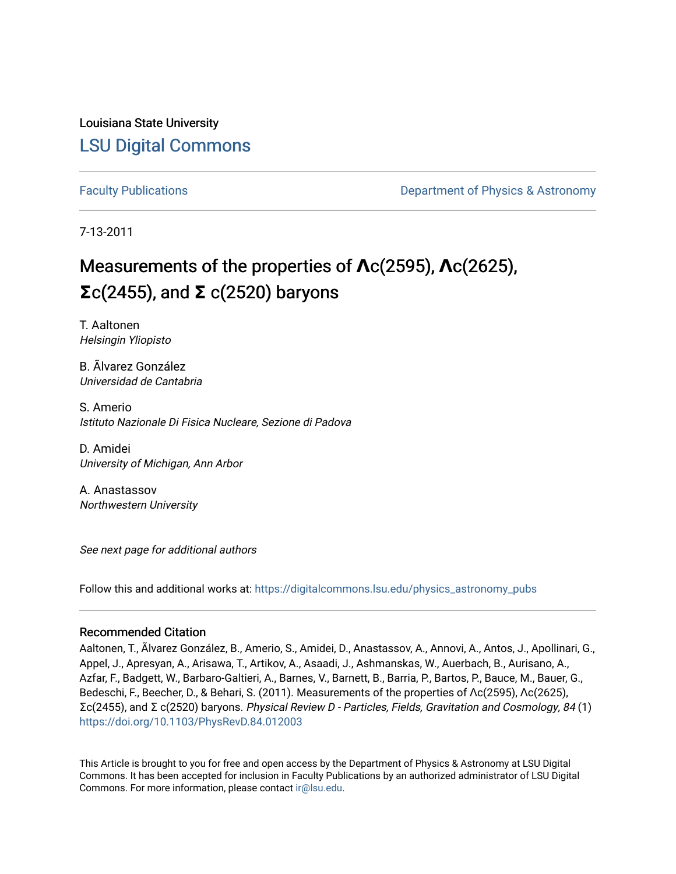Louisiana State University [LSU Digital Commons](https://digitalcommons.lsu.edu/)

[Faculty Publications](https://digitalcommons.lsu.edu/physics_astronomy_pubs) **Example 2** Constant Department of Physics & Astronomy

7-13-2011

# Measurements of the properties of  $\text{Ac}(2595)$ ,  $\text{Ac}(2625)$ , **Σ**c(2455), and **Σ** c(2520) baryons

T. Aaltonen Helsingin Yliopisto

B. Ãlvarez González Universidad de Cantabria

S. Amerio Istituto Nazionale Di Fisica Nucleare, Sezione di Padova

D. Amidei University of Michigan, Ann Arbor

A. Anastassov Northwestern University

See next page for additional authors

Follow this and additional works at: [https://digitalcommons.lsu.edu/physics\\_astronomy\\_pubs](https://digitalcommons.lsu.edu/physics_astronomy_pubs?utm_source=digitalcommons.lsu.edu%2Fphysics_astronomy_pubs%2F2355&utm_medium=PDF&utm_campaign=PDFCoverPages) 

# Recommended Citation

Aaltonen, T., Ãlvarez González, B., Amerio, S., Amidei, D., Anastassov, A., Annovi, A., Antos, J., Apollinari, G., Appel, J., Apresyan, A., Arisawa, T., Artikov, A., Asaadi, J., Ashmanskas, W., Auerbach, B., Aurisano, A., Azfar, F., Badgett, W., Barbaro-Galtieri, A., Barnes, V., Barnett, B., Barria, P., Bartos, P., Bauce, M., Bauer, G., Bedeschi, F., Beecher, D., & Behari, S. (2011). Measurements of the properties of Λc(2595), Λc(2625), Σc(2455), and Σ c(2520) baryons. Physical Review D - Particles, Fields, Gravitation and Cosmology, 84 (1) <https://doi.org/10.1103/PhysRevD.84.012003>

This Article is brought to you for free and open access by the Department of Physics & Astronomy at LSU Digital Commons. It has been accepted for inclusion in Faculty Publications by an authorized administrator of LSU Digital Commons. For more information, please contact [ir@lsu.edu](mailto:ir@lsu.edu).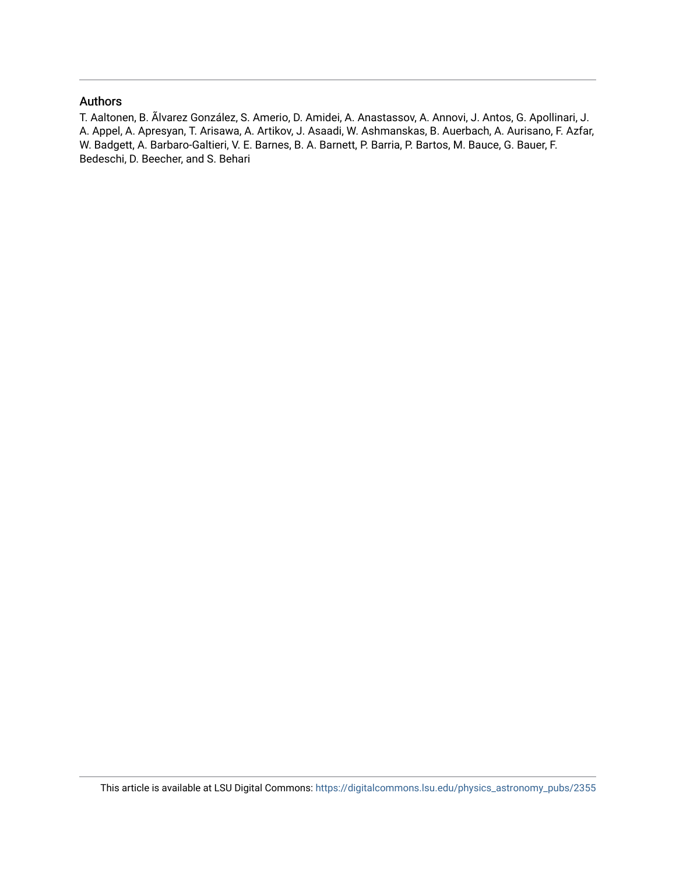# Authors

T. Aaltonen, B. Ãlvarez González, S. Amerio, D. Amidei, A. Anastassov, A. Annovi, J. Antos, G. Apollinari, J. A. Appel, A. Apresyan, T. Arisawa, A. Artikov, J. Asaadi, W. Ashmanskas, B. Auerbach, A. Aurisano, F. Azfar, W. Badgett, A. Barbaro-Galtieri, V. E. Barnes, B. A. Barnett, P. Barria, P. Bartos, M. Bauce, G. Bauer, F. Bedeschi, D. Beecher, and S. Behari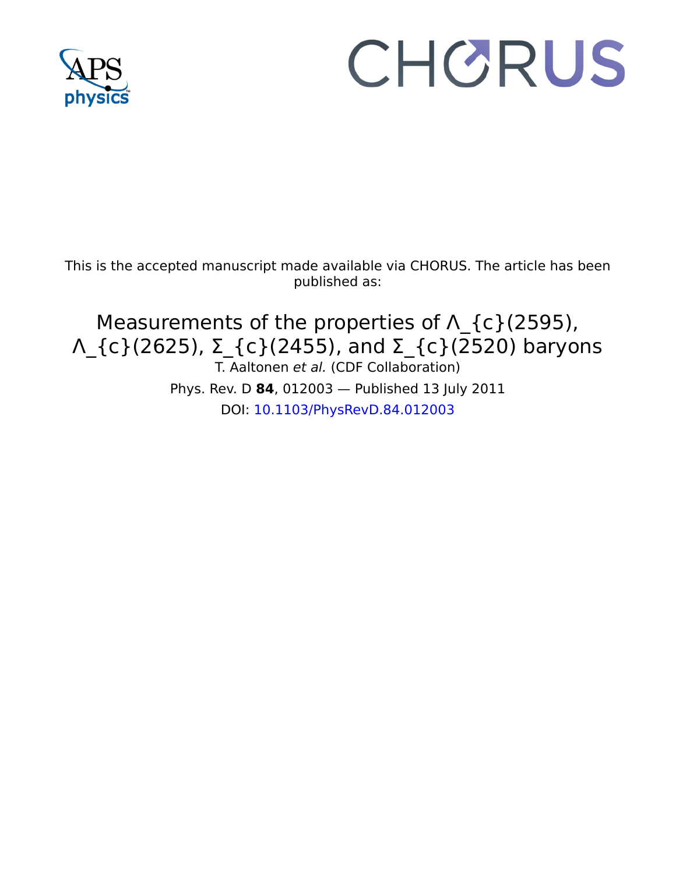

# CHORUS

This is the accepted manuscript made available via CHORUS. The article has been published as:

Measurements of the properties of Λ\_{c}(2595), Λ\_{c}(2625), Σ\_{c}(2455), and Σ\_{c}(2520) baryons T. Aaltonen et al. (CDF Collaboration) Phys. Rev. D **84**, 012003 — Published 13 July 2011 DOI: [10.1103/PhysRevD.84.012003](http://dx.doi.org/10.1103/PhysRevD.84.012003)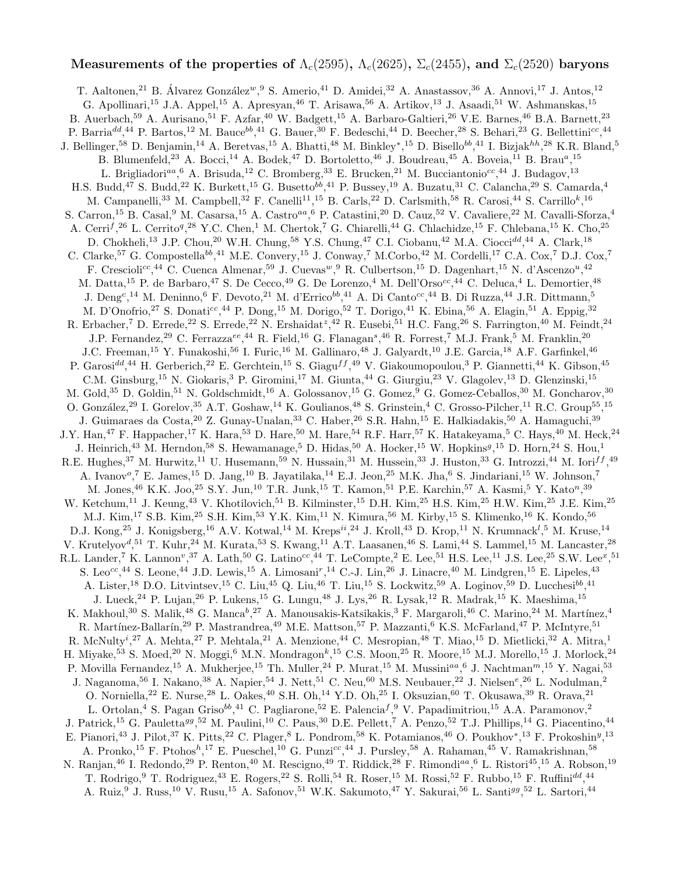# Measurements of the properties of  $\Lambda_c(2595)$ ,  $\Lambda_c(2625)$ ,  $\Sigma_c(2455)$ , and  $\Sigma_c(2520)$  baryons

Compostena ..., " M.E. Convery, ... " On Way, "M.Coroo, ... M.<br>
e., 4 C. Cuenca Almenar,  $59 \text{ J. Cuvars}^{10}$ ,  $\text{R. Culterson, } ^{15}$  D. I.<br>
.. de Barbaro,  $^{47}$  S. De Cecco,  $^{49}$  G. De Lorenzo,  $^{4}$  M. Dell'Orso<sup>cc</sup><br>
... de  $\mathcal{W}^{\mathcal{M}}$  F. C. Come M. C. Come J. M. C. Teritorike, G. Chineshi, "4 G. Chineshi, "P. C. Chineshi, "C. Chineshi, "C. Chineshi, "C. Chineshi, "C. Chineshi, "C. Chineshi, "C. Chineshi, "C. Chineshi, "P. C. Chineshi, " T. Aaltonen,<sup>21</sup> B. Álvarez González<sup>w</sup>, <sup>9</sup> S. Amerio,<sup>41</sup> D. Amidei,<sup>32</sup> A. Anastassov, <sup>36</sup> A. Annovi, <sup>17</sup> J. Antos, <sup>12</sup> G. Apollinari,<sup>15</sup> J.A. Appel,<sup>15</sup> A. Apresyan,<sup>46</sup> T. Arisawa,<sup>56</sup> A. Artikov,<sup>13</sup> J. Asaadi,<sup>51</sup> W. Ashmanskas,<sup>15</sup> B. Auerbach,<sup>59</sup> A. Aurisano,<sup>51</sup> F. Azfar,<sup>40</sup> W. Badgett,<sup>15</sup> A. Barbaro-Galtieri,<sup>26</sup> V.E. Barnes,<sup>46</sup> B.A. Barnett,<sup>23</sup> P. Barria<sup>dd</sup>,<sup>44</sup> P. Bartos,<sup>12</sup> M. Bauce<sup>bb</sup>,<sup>41</sup> G. Bauer,<sup>30</sup> F. Bedeschi,<sup>44</sup> D. Beecher,<sup>28</sup> S. Behari,<sup>23</sup> G. Bellettini<sup>cc</sup>,<sup>44</sup> J. Bellinger,<sup>58</sup> D. Benjamin,<sup>14</sup> A. Beretvas,<sup>15</sup> A. Bhatti,<sup>48</sup> M. Binkley\*,<sup>15</sup> D. Bisello<sup>bb</sup>,<sup>41</sup> I. Bizjak<sup>hh</sup>,<sup>28</sup> K.R. Bland,<sup>5</sup> B. Blumenfeld,<sup>23</sup> A. Bocci,<sup>14</sup> A. Bodek,<sup>47</sup> D. Bortoletto,<sup>46</sup> J. Boudreau,<sup>45</sup> A. Boveia,<sup>11</sup> B. Brau<sup>a</sup>,<sup>15</sup> L. Brigliadori<sup>aa</sup>, <sup>6</sup> A. Brisuda, <sup>12</sup> C. Bromberg, <sup>33</sup> E. Brucken, <sup>21</sup> M. Bucciantonio<sup>cc</sup>, <sup>44</sup> J. Budagov, <sup>13</sup> H.S. Budd,<sup>47</sup> S. Budd,<sup>22</sup> K. Burkett,<sup>15</sup> G. Busetto<sup>bb</sup>,<sup>41</sup> P. Bussey,<sup>19</sup> A. Buzatu,<sup>31</sup> C. Calancha,<sup>29</sup> S. Camarda,<sup>4</sup> M. Campanelli,<sup>33</sup> M. Campbell,<sup>32</sup> F. Canelli<sup>11</sup>,<sup>15</sup> B. Carls,<sup>22</sup> D. Carlsmith,<sup>58</sup> R. Carosi,<sup>44</sup> S. Carrillo<sup>k</sup>,<sup>16</sup> S. Carron,<sup>15</sup> B. Casal,<sup>9</sup> M. Casarsa,<sup>15</sup> A. Castro<sup>aa</sup>, <sup>6</sup> P. Catastini,<sup>20</sup> D. Cauz,<sup>52</sup> V. Cavaliere,<sup>22</sup> M. Cavalli-Sforza,<sup>4</sup> A. Cerri<sup>f</sup>,<sup>26</sup> L. Cerrito<sup>q</sup>,<sup>28</sup> Y.C. Chen,<sup>1</sup> M. Chertok,<sup>7</sup> G. Chiarelli,<sup>44</sup> G. Chlachidze,<sup>15</sup> F. Chlebana,<sup>15</sup> K. Cho,<sup>25</sup> D. Chokheli,<sup>13</sup> J.P. Chou,<sup>20</sup> W.H. Chung,<sup>58</sup> Y.S. Chung,<sup>47</sup> C.I. Ciobanu,<sup>42</sup> M.A. Ciocci<sup>dd</sup>,<sup>44</sup> A. Clark,<sup>18</sup> C. Clarke,<sup>57</sup> G. Compostella<sup>bb</sup>,<sup>41</sup> M.E. Convery,<sup>15</sup> J. Conway,<sup>7</sup> M.Corbo,<sup>42</sup> M. Cordelli,<sup>17</sup> C.A. Cox,<sup>7</sup> D.J. Cox,<sup>7</sup> F. Crescioli<sup>cc</sup>,<sup>44</sup> C. Cuenca Almenar,<sup>59</sup> J. Cuevas<sup>w</sup>, <sup>9</sup> R. Culbertson,<sup>15</sup> D. Dagenhart,<sup>15</sup> N. d'Ascenzo<sup>u</sup>,<sup>42</sup> M. Datta,<sup>15</sup> P. de Barbaro,<sup>47</sup> S. De Cecco,<sup>49</sup> G. De Lorenzo,<sup>4</sup> M. Dell'Orso<sup>cc</sup>,<sup>44</sup> C. Deluca,<sup>4</sup> L. Demortier,<sup>48</sup> J. Deng<sup>c</sup>,<sup>14</sup> M. Deninno,<sup>6</sup> F. Devoto,<sup>21</sup> M. d'Errico<sup>bb</sup>,<sup>41</sup> A. Di Canto<sup>cc</sup>,<sup>44</sup> B. Di Ruzza,<sup>44</sup> J.R. Dittmann,<sup>5</sup> M. D'Onofrio,<sup>27</sup> S. Donati<sup>cc</sup>,<sup>44</sup> P. Dong,<sup>15</sup> M. Dorigo,<sup>52</sup> T. Dorigo,<sup>41</sup> K. Ebina,<sup>56</sup> A. Elagin,<sup>51</sup> A. Eppig,<sup>32</sup> R. Erbacher,<sup>7</sup> D. Errede,<sup>22</sup> S. Errede,<sup>22</sup> N. Ershaidat<sup>z</sup>,<sup>42</sup> R. Eusebi,<sup>51</sup> H.C. Fang,<sup>26</sup> S. Farrington,<sup>40</sup> M. Feindt,<sup>24</sup> J.P. Fernandez,<sup>29</sup> C. Ferrazza<sup>ee</sup>,<sup>44</sup> R. Field,<sup>16</sup> G. Flanagan<sup>s</sup>,<sup>46</sup> R. Forrest,<sup>7</sup> M.J. Frank,<sup>5</sup> M. Franklin,<sup>20</sup> J.C. Freeman,<sup>15</sup> Y. Funakoshi,<sup>56</sup> I. Furic,<sup>16</sup> M. Gallinaro,<sup>48</sup> J. Galyardt,<sup>10</sup> J.E. Garcia,<sup>18</sup> A.F. Garfinkel,<sup>46</sup> P. Garosi<sup>dd</sup>,<sup>44</sup> H. Gerberich,<sup>22</sup> E. Gerchtein,<sup>15</sup> S. Giagu<sup>ff</sup>,<sup>49</sup> V. Giakoumopoulou,<sup>3</sup> P. Giannetti,<sup>44</sup> K. Gibson,<sup>45</sup> C.M. Ginsburg,<sup>15</sup> N. Giokaris,<sup>3</sup> P. Giromini,<sup>17</sup> M. Giunta,<sup>44</sup> G. Giurgiu,<sup>23</sup> V. Glagolev,<sup>13</sup> D. Glenzinski,<sup>15</sup> M. Gold,<sup>35</sup> D. Goldin,<sup>51</sup> N. Goldschmidt,<sup>16</sup> A. Golossanov,<sup>15</sup> G. Gomez,<sup>9</sup> G. Gomez-Ceballos,<sup>30</sup> M. Goncharov,<sup>30</sup> O. González,<sup>29</sup> I. Gorelov,<sup>35</sup> A.T. Goshaw,<sup>14</sup> K. Goulianos,<sup>48</sup> S. Grinstein,<sup>4</sup> C. Grosso-Pilcher,<sup>11</sup> R.C. Group<sup>55</sup>,<sup>15</sup> J. Guimaraes da Costa, <sup>20</sup> Z. Gunay-Unalan, <sup>33</sup> C. Haber, <sup>26</sup> S.R. Hahn, <sup>15</sup> E. Halkiadakis, <sup>50</sup> A. Hamaguchi, <sup>39</sup> J.Y. Han,<sup>47</sup> F. Happacher,<sup>17</sup> K. Hara,<sup>53</sup> D. Hare,<sup>50</sup> M. Hare,<sup>54</sup> R.F. Harr,<sup>57</sup> K. Hatakeyama,<sup>5</sup> C. Hays,<sup>40</sup> M. Heck,<sup>24</sup> J. Heinrich,<sup>43</sup> M. Herndon,<sup>58</sup> S. Hewamanage,<sup>5</sup> D. Hidas,<sup>50</sup> A. Hocker,<sup>15</sup> W. Hopkins<sup>g</sup>,<sup>15</sup> D. Horn,<sup>24</sup> S. Hou,<sup>1</sup> R.E. Hughes,<sup>37</sup> M. Hurwitz,<sup>11</sup> U. Husemann,<sup>59</sup> N. Hussain,<sup>31</sup> M. Hussein,<sup>33</sup> J. Huston,<sup>33</sup> G. Introzzi,<sup>44</sup> M. Iori<sup>ff</sup>,<sup>49</sup> A. Ivanov<sup>o</sup>,<sup>7</sup> E. James,<sup>15</sup> D. Jang,<sup>10</sup> B. Jayatilaka,<sup>14</sup> E.J. Jeon,<sup>25</sup> M.K. Jha,<sup>6</sup> S. Jindariani,<sup>15</sup> W. Johnson,<sup>7</sup> M. Jones, <sup>46</sup> K.K. Joo, <sup>25</sup> S.Y. Jun, <sup>10</sup> T.R. Junk, <sup>15</sup> T. Kamon, <sup>51</sup> P.E. Karchin, <sup>57</sup> A. Kasmi, <sup>5</sup> Y. Kato<sup>n</sup>, <sup>39</sup> W. Ketchum,<sup>11</sup> J. Keung,<sup>43</sup> V. Khotilovich,<sup>51</sup> B. Kilminster,<sup>15</sup> D.H. Kim,<sup>25</sup> H.S. Kim,<sup>25</sup> H.W. Kim,<sup>25</sup> J.E. Kim,<sup>25</sup> M.J. Kim,<sup>17</sup> S.B. Kim,<sup>25</sup> S.H. Kim,<sup>53</sup> Y.K. Kim,<sup>11</sup> N. Kimura,<sup>56</sup> M. Kirby,<sup>15</sup> S. Klimenko,<sup>16</sup> K. Kondo,<sup>56</sup> D.J. Kong,<sup>25</sup> J. Konigsberg,<sup>16</sup> A.V. Kotwal,<sup>14</sup> M. Kreps<sup>ii</sup>,<sup>24</sup> J. Kroll,<sup>43</sup> D. Krop,<sup>11</sup> N. Krumnack<sup>1</sup>,<sup>5</sup> M. Kruse,<sup>14</sup> V. Krutelyov<sup>d</sup>,<sup>51</sup> T. Kuhr,<sup>24</sup> M. Kurata,<sup>53</sup> S. Kwang,<sup>11</sup> A.T. Laasanen,<sup>46</sup> S. Lami,<sup>44</sup> S. Lammel,<sup>15</sup> M. Lancaster,<sup>28</sup> R.L. Lander,<sup>7</sup> K. Lannon<sup>v</sup>,<sup>37</sup> A. Lath,<sup>50</sup> G. Latino<sup>cc</sup>,<sup>44</sup> T. LeCompte,<sup>2</sup> E. Lee,<sup>51</sup> H.S. Lee,<sup>11</sup> J.S. Lee,<sup>25</sup> S.W. Lee<sup>x</sup>,<sup>51</sup> S. Leo<sup>cc</sup>,<sup>44</sup> S. Leone,<sup>44</sup> J.D. Lewis,<sup>15</sup> A. Limosani<sup>r</sup>,<sup>14</sup> C.-J. Lin,<sup>26</sup> J. Linacre,<sup>40</sup> M. Lindgren,<sup>15</sup> E. Lipeles,<sup>43</sup> A. Lister,<sup>18</sup> D.O. Litvintsev,<sup>15</sup> C. Liu,<sup>45</sup> Q. Liu,<sup>46</sup> T. Liu,<sup>15</sup> S. Lockwitz,<sup>59</sup> A. Loginov,<sup>59</sup> D. Lucchesi<sup>bb</sup>,<sup>41</sup> J. Lueck,  $^{24}$  P. Lujan,  $^{26}$  P. Lukens,  $^{15}$  G. Lungu,  $^{48}$  J. Lys,  $^{26}$  R. Lysak,  $^{12}$  R. Madrak,  $^{15}$  K. Maeshima,  $^{15}$ K. Makhoul,<sup>30</sup> S. Malik,<sup>48</sup> G. Manca<sup>b</sup>,<sup>27</sup> A. Manousakis-Katsikakis,<sup>3</sup> F. Margaroli,<sup>46</sup> C. Marino,<sup>24</sup> M. Martínez,<sup>4</sup> R. Martínez-Ballarín,<sup>29</sup> P. Mastrandrea,<sup>49</sup> M.E. Mattson,<sup>57</sup> P. Mazzanti,<sup>6</sup> K.S. McFarland,<sup>47</sup> P. McIntyre,<sup>51</sup> R. McNulty<sup>i</sup>,<sup>27</sup> A. Mehta,<sup>27</sup> P. Mehtala,<sup>21</sup> A. Menzione,<sup>44</sup> C. Mesropian,<sup>48</sup> T. Miao,<sup>15</sup> D. Mietlicki,<sup>32</sup> A. Mitra,<sup>1</sup> H. Miyake, $^{53}$  S. Moed, $^{20}$  N. Moggi, $^6$  M.N. Mondragon $^k,^{15}$  C.S. Moon, $^{25}$  R. Moore, $^{15}$  M.J. Morello, $^{15}$  J. Morlock, $^{24}$ P. Movilla Fernandez,<sup>15</sup> A. Mukherjee,<sup>15</sup> Th. Muller,<sup>24</sup> P. Murat,<sup>15</sup> M. Mussini<sup>aa</sup>,<sup>6</sup> J. Nachtman<sup>m</sup>,<sup>15</sup> Y. Nagai,<sup>53</sup> J. Naganoma,<sup>56</sup> I. Nakano,<sup>38</sup> A. Napier,<sup>54</sup> J. Nett,<sup>51</sup> C. Neu,<sup>60</sup> M.S. Neubauer,<sup>22</sup> J. Nielsen<sup>e</sup>,<sup>26</sup> L. Nodulman,<sup>2</sup> O. Norniella,<sup>22</sup> E. Nurse,<sup>28</sup> L. Oakes,<sup>40</sup> S.H. Oh,<sup>14</sup> Y.D. Oh,<sup>25</sup> I. Oksuzian,<sup>60</sup> T. Okusawa,<sup>39</sup> R. Orava,<sup>21</sup> L. Ortolan,<sup>4</sup> S. Pagan Griso<sup>bb</sup>,<sup>41</sup> C. Pagliarone,<sup>52</sup> E. Palencia<sup>f</sup>,<sup>9</sup> V. Papadimitriou,<sup>15</sup> A.A. Paramonov,<sup>2</sup> J. Patrick,<sup>15</sup> G. Pauletta<sup>gg</sup>,<sup>52</sup> M. Paulini,<sup>10</sup> C. Paus,<sup>30</sup> D.E. Pellett,<sup>7</sup> A. Penzo,<sup>52</sup> T.J. Phillips,<sup>14</sup> G. Piacentino,<sup>44</sup> E. Pianori,<sup>43</sup> J. Pilot,<sup>37</sup> K. Pitts,<sup>22</sup> C. Plager,<sup>8</sup> L. Pondrom,<sup>58</sup> K. Potamianos,<sup>46</sup> O. Poukhov\*,<sup>13</sup> F. Prokoshin<sup>y</sup>,<sup>13</sup> A. Pronko,<sup>15</sup> F. Ptohos<sup>h</sup>,<sup>17</sup> E. Pueschel,<sup>10</sup> G. Punzi<sup>cc</sup>,<sup>44</sup> J. Pursley,<sup>58</sup> A. Rahaman,<sup>45</sup> V. Ramakrishnan,<sup>58</sup> N. Ranjan,<sup>46</sup> I. Redondo,<sup>29</sup> P. Renton,<sup>40</sup> M. Rescigno,<sup>49</sup> T. Riddick,<sup>28</sup> F. Rimondi<sup>aa</sup>,<sup>6</sup> L. Ristori<sup>45</sup>,<sup>15</sup> A. Robson,<sup>19</sup> T. Rodrigo, <sup>9</sup> T. Rodriguez, <sup>43</sup> E. Rogers, <sup>22</sup> S. Rolli, <sup>54</sup> R. Roser, <sup>15</sup> M. Rossi, <sup>52</sup> F. Rubbo, <sup>15</sup> F. Ruffini<sup>dd</sup>, <sup>44</sup> A. Ruiz,<sup>9</sup> J. Russ,<sup>10</sup> V. Rusu,<sup>15</sup> A. Safonov,<sup>51</sup> W.K. Sakumoto,<sup>47</sup> Y. Sakurai,<sup>56</sup> L. Santi<sup>gg</sup>,<sup>52</sup> L. Sartori,<sup>44</sup>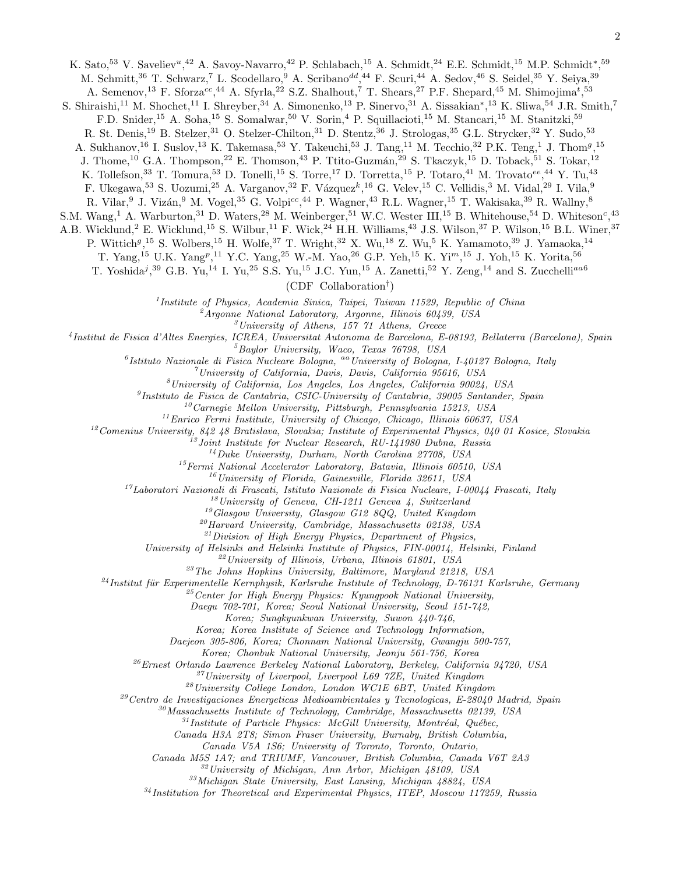K. Sato,<sup>53</sup> V. Saveliev<sup>u</sup>,<sup>42</sup> A. Savoy-Navarro,<sup>42</sup> P. Schlabach,<sup>15</sup> A. Schmidt,<sup>24</sup> E.E. Schmidt,<sup>15</sup> M.P. Schmidt<sup>\*</sup>,<sup>59</sup> M. Schmitt,<sup>36</sup> T. Schwarz,<sup>7</sup> L. Scodellaro,<sup>9</sup> A. Scribano<sup>dd</sup>,<sup>44</sup> F. Scuri,<sup>44</sup> A. Sedov,<sup>46</sup> S. Seidel,<sup>35</sup> Y. Seiya,<sup>39</sup>

A. Semenov,<sup>13</sup> F. Sforza<sup>cc</sup>,<sup>44</sup> A. Sfyrla,<sup>22</sup> S.Z. Shalhout,<sup>7</sup> T. Shears,<sup>27</sup> P.F. Shepard,<sup>45</sup> M. Shimojima<sup>t</sup>,<sup>53</sup> S. Shiraishi,<sup>11</sup> M. Shochet,<sup>11</sup> I. Shreyber,<sup>34</sup> A. Simonenko,<sup>13</sup> P. Sinervo,<sup>31</sup> A. Sissakian<sup>\*</sup>,<sup>13</sup> K. Sliwa,<sup>54</sup> J.R. Smith,<sup>7</sup>

F.D. Snider,<sup>15</sup> A. Soha,<sup>15</sup> S. Somalwar,<sup>50</sup> V. Sorin,<sup>4</sup> P. Squillacioti,<sup>15</sup> M. Stancari,<sup>15</sup> M. Stanitzki,<sup>59</sup>

R. St. Denis,<sup>19</sup> B. Stelzer,<sup>31</sup> O. Stelzer-Chilton,<sup>31</sup> D. Stentz,<sup>36</sup> J. Strologas,<sup>35</sup> G.L. Strycker,<sup>32</sup> Y. Sudo,<sup>53</sup>

A. Sukhanov,<sup>16</sup> I. Suslov,<sup>13</sup> K. Takemasa,<sup>53</sup> Y. Takeuchi,<sup>53</sup> J. Tang,<sup>11</sup> M. Tecchio,<sup>32</sup> P.K. Teng,<sup>1</sup> J. Thom<sup>g</sup>,<sup>15</sup>

J. Thome,<sup>10</sup> G.A. Thompson,<sup>22</sup> E. Thomson,<sup>43</sup> P. Ttito-Guzmán,<sup>29</sup> S. Tkaczyk,<sup>15</sup> D. Toback,<sup>51</sup> S. Tokar,<sup>12</sup>

K. Tollefson,<sup>33</sup> T. Tomura,<sup>53</sup> D. Tonelli,<sup>15</sup> S. Torre,<sup>17</sup> D. Torretta,<sup>15</sup> P. Totaro,<sup>41</sup> M. Trovato<sup>ee</sup>,<sup>44</sup> Y. Tu,<sup>43</sup>

F. Ukegawa,<sup>53</sup> S. Uozumi,<sup>25</sup> A. Varganov,<sup>32</sup> F. Vázquez<sup>k</sup>,<sup>16</sup> G. Velev,<sup>15</sup> C. Vellidis,<sup>3</sup> M. Vidal,<sup>29</sup> I. Vila,<sup>9</sup>

R. Vilar,  $9$  J. Vizán,  $9$  M. Vogel,  $35$  G. Volpi<sup>cc</sup>,  $^{44}$  P. Wagner,  $^{43}$  R.L. Wagner,  $^{15}$  T. Wakisaka,  $^{39}$  R. Wallny,  $^8$ 

S.M. Wang,<sup>1</sup> A. Warburton,<sup>31</sup> D. Waters,<sup>28</sup> M. Weinberger,<sup>51</sup> W.C. Wester III,<sup>15</sup> B. Whitehouse,<sup>54</sup> D. Whiteson<sup>c</sup>,<sup>43</sup>

A.B. Wicklund,<sup>2</sup> E. Wicklund,<sup>15</sup> S. Wilbur,<sup>11</sup> F. Wick,<sup>24</sup> H.H. Williams,<sup>43</sup> J.S. Wilson,<sup>37</sup> P. Wilson,<sup>15</sup> B.L. Winer,<sup>37</sup>

P. Wittich<sup>g<sub>, 15</sub> S. Wolbers, <sup>15</sup> H. Wolfe, <sup>37</sup> T. Wright, <sup>32</sup> X. Wu, <sup>18</sup> Z. Wu, <sup>5</sup> K. Yamamoto, <sup>39</sup> J. Yamaoka, <sup>14</sup></sup>

T. Yang,<sup>15</sup> U.K. Yang<sup>p</sup>,<sup>11</sup> Y.C. Yang,<sup>25</sup> W.-M. Yao,<sup>26</sup> G.P. Yeh,<sup>15</sup> K. Yi<sup>m</sup>,<sup>15</sup> J. Yoh,<sup>15</sup> K. Yorita,<sup>56</sup>

T. Yoshida<sup>j</sup>,<sup>39</sup> G.B. Yu,<sup>14</sup> I. Yu,<sup>25</sup> S.S. Yu,<sup>15</sup> J.C. Yun,<sup>15</sup> A. Zanetti,<sup>52</sup> Y. Zeng,<sup>14</sup> and S. Zucchelli<sup>aa6</sup>

(CDF Collaboration† )

1 *Institute of Physics, Academia Sinica, Taipei, Taiwan 11529, Republic of China*

<sup>2</sup>*Argonne National Laboratory, Argonne, Illinois 60439, USA*

<sup>3</sup>*University of Athens, 157 71 Athens, Greece*

4 *Institut de Fisica d'Altes Energies, ICREA, Universitat Autonoma de Barcelona, E-08193, Bellaterra (Barcelona), Spain*

<sup>5</sup>*Baylor University, Waco, Texas 76798, USA*

6 *Istituto Nazionale di Fisica Nucleare Bologna,* aa*University of Bologna, I-40127 Bologna, Italy*

<sup>7</sup>*University of California, Davis, Davis, California 95616, USA*

<sup>8</sup>*University of California, Los Angeles, Los Angeles, California 90024, USA*

9 *Instituto de Fisica de Cantabria, CSIC-University of Cantabria, 39005 Santander, Spain*

<sup>10</sup>*Carnegie Mellon University, Pittsburgh, Pennsylvania 15213, USA*

<sup>11</sup>*Enrico Fermi Institute, University of Chicago, Chicago, Illinois 60637, USA*

<sup>12</sup>*Comenius University, 842 48 Bratislava, Slovakia; Institute of Experimental Physics, 040 01 Kosice, Slovakia*

<sup>13</sup>*Joint Institute for Nuclear Research, RU-141980 Dubna, Russia*

<sup>14</sup>*Duke University, Durham, North Carolina 27708, USA*

<sup>15</sup>*Fermi National Accelerator Laboratory, Batavia, Illinois 60510, USA*

<sup>16</sup>*University of Florida, Gainesville, Florida 32611, USA*

<sup>17</sup>*Laboratori Nazionali di Frascati, Istituto Nazionale di Fisica Nucleare, I-00044 Frascati, Italy*

<sup>18</sup>*University of Geneva, CH-1211 Geneva 4, Switzerland*

<sup>19</sup>*Glasgow University, Glasgow G12 8QQ, United Kingdom*

<sup>20</sup>*Harvard University, Cambridge, Massachusetts 02138, USA*

<sup>21</sup>*Division of High Energy Physics, Department of Physics,*

*University of Helsinki and Helsinki Institute of Physics, FIN-00014, Helsinki, Finland*

<sup>22</sup>*University of Illinois, Urbana, Illinois 61801, USA*

<sup>23</sup>*The Johns Hopkins University, Baltimore, Maryland 21218, USA*

<sup>24</sup>*Institut für Experimentelle Kernphysik, Karlsruhe Institute of Technology, D-76131 Karlsruhe, Germany* 

<sup>25</sup>*Center for High Energy Physics: Kyungpook National University,*

*Daegu 702-701, Korea; Seoul National University, Seoul 151-742,*

*Korea; Sungkyunkwan University, Suwon 440-746,*

*Korea; Korea Institute of Science and Technology Information,*

*Daejeon 305-806, Korea; Chonnam National University, Gwangju 500-757,*

*Korea; Chonbuk National University, Jeonju 561-756, Korea*

<sup>26</sup>*Ernest Orlando Lawrence Berkeley National Laboratory, Berkeley, California 94720, USA*

<sup>27</sup>*University of Liverpool, Liverpool L69 7ZE, United Kingdom*

<sup>28</sup>*University College London, London WC1E 6BT, United Kingdom*

<sup>29</sup>*Centro de Investigaciones Energeticas Medioambientales y Tecnologicas, E-28040 Madrid, Spain*

<sup>30</sup>*Massachusetts Institute of Technology, Cambridge, Massachusetts 02139, USA*

<sup>31</sup>Institute of Particle Physics: McGill University, Montréal, Québec,

*Canada H3A 2T8; Simon Fraser University, Burnaby, British Columbia,*

*Canada V5A 1S6; University of Toronto, Toronto, Ontario,*

*Canada M5S 1A7; and TRIUMF, Vancouver, British Columbia, Canada V6T 2A3*

<sup>32</sup>*University of Michigan, Ann Arbor, Michigan 48109, USA*

<sup>33</sup>*Michigan State University, East Lansing, Michigan 48824, USA*

<sup>34</sup>*Institution for Theoretical and Experimental Physics, ITEP, Moscow 117259, Russia*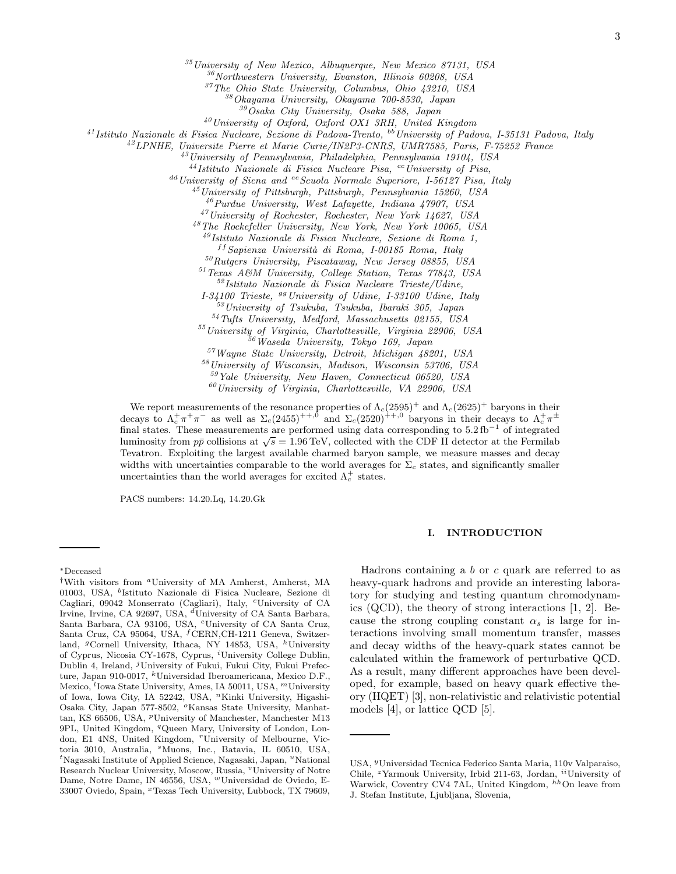<sup>35</sup>*University of New Mexico, Albuquerque, New Mexico 87131, USA*

<sup>36</sup>*Northwestern University, Evanston, Illinois 60208, USA*

<sup>37</sup>*The Ohio State University, Columbus, Ohio 43210, USA*

<sup>38</sup>*Okayama University, Okayama 700-8530, Japan*

<sup>39</sup>*Osaka City University, Osaka 588, Japan*

<sup>40</sup>*University of Oxford, Oxford OX1 3RH, United Kingdom*

<sup>41</sup>*Istituto Nazionale di Fisica Nucleare, Sezione di Padova-Trento,* bb*University of Padova, I-35131 Padova, Italy*

<sup>42</sup>*LPNHE, Universite Pierre et Marie Curie/IN2P3-CNRS, UMR7585, Paris, F-75252 France*

<sup>43</sup>*University of Pennsylvania, Philadelphia, Pennsylvania 19104, USA*

<sup>44</sup>*Istituto Nazionale di Fisica Nucleare Pisa,* cc*University of Pisa,*

<sup>dd</sup> University of Siena and <sup>ee</sup> Scuola Normale Superiore, I-56127 Pisa, Italy

<sup>45</sup>*University of Pittsburgh, Pittsburgh, Pennsylvania 15260, USA*

<sup>46</sup>*Purdue University, West Lafayette, Indiana 47907, USA*

<sup>47</sup>*University of Rochester, Rochester, New York 14627, USA*

<sup>48</sup>*The Rockefeller University, New York, New York 10065, USA*

<sup>49</sup>*Istituto Nazionale di Fisica Nucleare, Sezione di Roma 1,*

f f *Sapienza Universit`a di Roma, I-00185 Roma, Italy*

<sup>50</sup>*Rutgers University, Piscataway, New Jersey 08855, USA*

<sup>51</sup>*Texas A&M University, College Station, Texas 77843, USA*

<sup>52</sup>*Istituto Nazionale di Fisica Nucleare Trieste/Udine,*

*I-34100 Trieste,* gg*University of Udine, I-33100 Udine, Italy*

<sup>53</sup>*University of Tsukuba, Tsukuba, Ibaraki 305, Japan*

<sup>54</sup>*Tufts University, Medford, Massachusetts 02155, USA*

<sup>55</sup>*University of Virginia, Charlottesville, Virginia 22906, USA*

<sup>56</sup>*Waseda University, Tokyo 169, Japan*

<sup>57</sup>*Wayne State University, Detroit, Michigan 48201, USA*

<sup>58</sup>*University of Wisconsin, Madison, Wisconsin 53706, USA* <sup>59</sup>*Yale University, New Haven, Connecticut 06520, USA*

<sup>60</sup>*University of Virginia, Charlottesville, VA 22906, USA*

We report measurements of the resonance properties of  $\Lambda_c(2595)^+$  and  $\Lambda_c(2625)^+$  baryons in their decays to  $\Lambda_c^+\pi^+\pi^-$  as well as  $\Sigma_c(2455)^{++,0}$  and  $\Sigma_c(2520)^{++,0}$  baryons in their decays to  $\Lambda_c^+\pi^{\pm}$ final states. These measurements are performed using data corresponding to  $5.2\,\mathrm{fb}^{-1}$  of integrated luminosity from  $p\bar{p}$  collisions at  $\sqrt{s} = 1.96 \text{ TeV}$ , collected with the CDF II detector at the Fermilab Tevatron. Exploiting the largest available charmed baryon sample, we measure masses and decay widths with uncertainties comparable to the world averages for  $\Sigma_c$  states, and significantly smaller uncertainties than the world averages for excited  $\Lambda_c^+$  states.

PACS numbers: 14.20.Lq, 14.20.Gk

#### I. INTRODUCTION

Hadrons containing a  $b$  or  $c$  quark are referred to as heavy-quark hadrons and provide an interesting laboratory for studying and testing quantum chromodynamics (QCD), the theory of strong interactions [1, 2]. Because the strong coupling constant  $\alpha_s$  is large for interactions involving small momentum transfer, masses and decay widths of the heavy-quark states cannot be calculated within the framework of perturbative QCD. As a result, many different approaches have been developed, for example, based on heavy quark effective theory (HQET) [3], non-relativistic and relativistic potential models [4], or lattice QCD [5].

<sup>∗</sup>Deceased

<sup>†</sup>With visitors from <sup>a</sup>University of MA Amherst, Amherst, MA 01003, USA, <sup>b</sup>Istituto Nazionale di Fisica Nucleare, Sezione di Cagliari, 09042 Monserrato (Cagliari), Italy, <sup>c</sup>University of CA Irvine, Irvine, CA 92697, USA, <sup>d</sup>University of CA Santa Barbara, Santa Barbara, CA 93106, USA, <sup>e</sup>University of CA Santa Cruz, Santa Cruz, CA 95064, USA, <sup>f</sup>CERN,CH-1211 Geneva, Switzerland, <sup>g</sup>Cornell University, Ithaca, NY 14853, USA, <sup>h</sup>University of Cyprus, Nicosia CY-1678, Cyprus, <sup>*i*</sup>University College Dublin, Dublin 4, Ireland, <sup>j</sup>University of Fukui, Fukui City, Fukui Prefecture, Japan 910-0017, <sup>k</sup>Universidad Iberoamericana, Mexico D.F., Mexico, <sup>l</sup>Iowa State University, Ames, IA 50011, USA, <sup>m</sup>University of Iowa, Iowa City, IA 52242, USA, "Kinki University, Higashi-Osaka City, Japan 577-8502, <sup>o</sup>Kansas State University, Manhattan, KS 66506, USA, <sup>*p*</sup>University of Manchester, Manchester M13 9PL, United Kingdom, <sup>q</sup>Queen Mary, University of London, London, E1 4NS, United Kingdom, "University of Melbourne, Victoria 3010, Australia, <sup>*s*</sup> Muons, Inc., Batavia, IL 60510, USA,  $t$ Nagasaki Institute of Applied Science, Nagasaki, Japan,  $u$ National Research Nuclear University, Moscow, Russia, "University of Notre Dame, Notre Dame, IN 46556, USA, "Universidad de Oviedo, E-33007 Oviedo, Spain, <sup>x</sup>Texas Tech University, Lubbock, TX 79609,

USA, <sup>y</sup>Universidad Tecnica Federico Santa Maria, 110v Valparaiso, Chile, <sup>z</sup>Yarmouk University, Irbid 211-63, Jordan, <sup>ii</sup>University of Warwick, Coventry CV4 7AL, United Kingdom,  $^{hh}$ On leave from J. Stefan Institute, Ljubljana, Slovenia,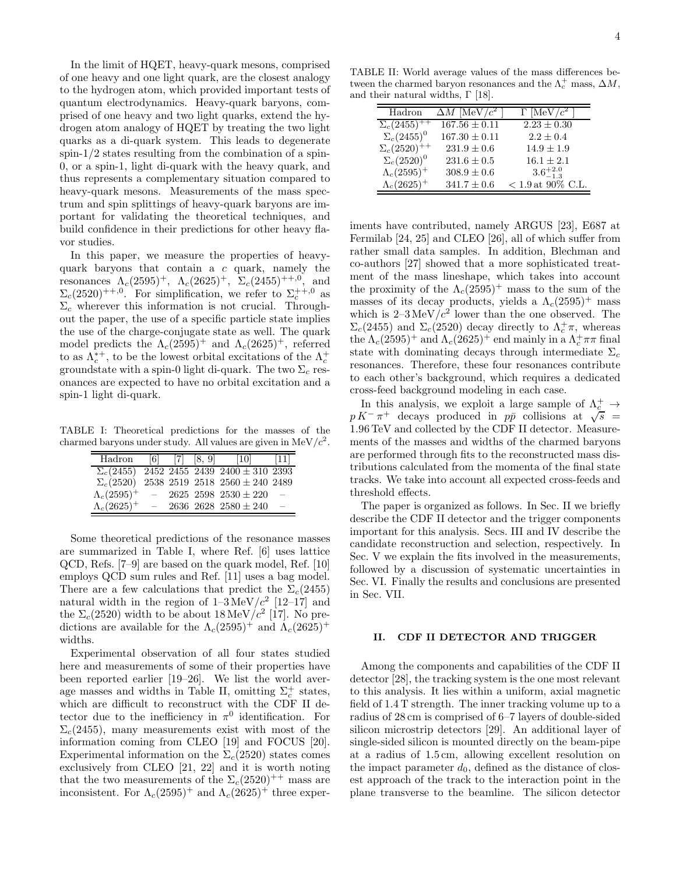In the limit of HQET, heavy-quark mesons, comprised of one heavy and one light quark, are the closest analogy to the hydrogen atom, which provided important tests of quantum electrodynamics. Heavy-quark baryons, comprised of one heavy and two light quarks, extend the hydrogen atom analogy of HQET by treating the two light quarks as a di-quark system. This leads to degenerate spin- $1/2$  states resulting from the combination of a spin-0, or a spin-1, light di-quark with the heavy quark, and thus represents a complementary situation compared to heavy-quark mesons. Measurements of the mass spectrum and spin splittings of heavy-quark baryons are important for validating the theoretical techniques, and build confidence in their predictions for other heavy flavor studies.

In this paper, we measure the properties of heavyquark baryons that contain a c quark, namely the resonances  $\Lambda_c(2595)^+$ ,  $\Lambda_c(2625)^+$ ,  $\Sigma_c(2455)^{++,0}$ , and  $\Sigma_c(2520)^{++,0}$ . For simplification, we refer to  $\Sigma_c^{++,0}$  as  $\Sigma_c$  wherever this information is not crucial. Throughout the paper, the use of a specific particle state implies the use of the charge-conjugate state as well. The quark model predicts the  $\Lambda_c(2595)^+$  and  $\Lambda_c(2625)^+$ , referred to as  $\Lambda_c^{*+}$ , to be the lowest orbital excitations of the  $\Lambda_c^+$ groundstate with a spin-0 light di-quark. The two  $\Sigma_c$  resonances are expected to have no orbital excitation and a spin-1 light di-quark.

TABLE I: Theoretical predictions for the masses of the charmed baryons under study. All values are given in  $MeV/c<sup>2</sup>$ .

| Hadron              | 6   | 171 | [8, 9] | $\vert 10 \vert$                                                                                             | 111 |
|---------------------|-----|-----|--------|--------------------------------------------------------------------------------------------------------------|-----|
| $\Sigma_c(2455)$    |     |     |        | $\overline{2452}$ $\overline{2455}$ $\overline{2439}$ $\overline{2400} \pm \overline{310}$ $\overline{2393}$ |     |
| $\Sigma_c(2520)$    |     |     |        | $2538\ 2519\ 2518\ 2560 \pm 240\ 2489$                                                                       |     |
| $\Lambda_c(2595)^+$ | $-$ |     |        | $2625$ 2598 $2530 \pm 220$                                                                                   | -   |
| $\Lambda_c(2625)^+$ |     |     |        | 2636 2628 2580 $\pm$ 240                                                                                     |     |

Some theoretical predictions of the resonance masses are summarized in Table I, where Ref. [6] uses lattice QCD, Refs. [7–9] are based on the quark model, Ref. [10] employs QCD sum rules and Ref. [11] uses a bag model. There are a few calculations that predict the  $\Sigma_c(2455)$ natural width in the region of  $1-3 \text{ MeV}/c^2$  [12-17] and the  $\Sigma_c(2520)$  width to be about 18 MeV/ $c^2$  [17]. No predictions are available for the  $\Lambda_c(2595)^+$  and  $\Lambda_c(2625)^+$ widths.

Experimental observation of all four states studied here and measurements of some of their properties have been reported earlier [19–26]. We list the world average masses and widths in Table II, omitting  $\Sigma_c^+$  states, which are difficult to reconstruct with the CDF II detector due to the inefficiency in  $\pi^0$  identification. For  $\Sigma_c(2455)$ , many measurements exist with most of the information coming from CLEO [19] and FOCUS [20]. Experimental information on the  $\Sigma_c(2520)$  states comes exclusively from CLEO [21, 22] and it is worth noting that the two measurements of the  $\Sigma_c(2520)^{++}$  mass are inconsistent. For  $\Lambda_c(2595)^+$  and  $\Lambda_c(2625)^+$  three exper-

TABLE II: World average values of the mass differences between the charmed baryon resonances and the  $\Lambda_c^+$  mass,  $\Delta M$ , and their natural widths,  $\Gamma$  [18].

| Hadron                           | $\Delta M$ [MeV/ $c^2$ ] | $\Gamma$ [MeV/ $c^2$ |
|----------------------------------|--------------------------|----------------------|
| $\Sigma_c(24\overline{55})^{++}$ | $167.56 \pm 0.11$        | $2.23 \pm 0.30$      |
| $\Sigma_c(2455)^0$               | $167.30 \pm 0.11$        | $2.2 \pm 0.4$        |
| $\Sigma_c(2520)^{++}$            | $231.9 \pm 0.6$          | $14.9 \pm 1.9$       |
| $\Sigma_c(2520)^0$               | $231.6 \pm 0.5$          | $16.1 \pm 2.1$       |
| $\Lambda_c(2595)^+$              | $308.9 \pm 0.6$          | $3.6^{+2.0}_{-1.3}$  |
| $\Lambda_c(2625)^+$              | $341.7 \pm 0.6$          | $< 1.9$ at 90% C.L.  |

iments have contributed, namely ARGUS [23], E687 at Fermilab [24, 25] and CLEO [26], all of which suffer from rather small data samples. In addition, Blechman and co-authors [27] showed that a more sophisticated treatment of the mass lineshape, which takes into account the proximity of the  $\Lambda_c(2595)^+$  mass to the sum of the masses of its decay products, yields a  $\Lambda_c(2595)^+$  mass which is  $2-3 \text{ MeV}/c^2$  lower than the one observed. The  $\Sigma_c(2455)$  and  $\Sigma_c(2520)$  decay directly to  $\Lambda_c^+\pi$ , whereas the  $\Lambda_c(2595)^+$  and  $\Lambda_c(2625)^+$  end mainly in a  $\Lambda_c^+\pi\pi$  final state with dominating decays through intermediate  $\Sigma_c$ resonances. Therefore, these four resonances contribute to each other's background, which requires a dedicated cross-feed background modeling in each case.

In this analysis, we exploit a large sample of  $\Lambda_{\underline{c}}^+ \to$  $p K^- \pi^+$  decays produced in  $p\bar{p}$  collisions at  $\sqrt{s}$  = 1.96 TeV and collected by the CDF II detector. Measurements of the masses and widths of the charmed baryons are performed through fits to the reconstructed mass distributions calculated from the momenta of the final state tracks. We take into account all expected cross-feeds and threshold effects.

The paper is organized as follows. In Sec. II we briefly describe the CDF II detector and the trigger components important for this analysis. Secs. III and IV describe the candidate reconstruction and selection, respectively. In Sec. V we explain the fits involved in the measurements, followed by a discussion of systematic uncertainties in Sec. VI. Finally the results and conclusions are presented in Sec. VII.

#### II. CDF II DETECTOR AND TRIGGER

Among the components and capabilities of the CDF II detector [28], the tracking system is the one most relevant to this analysis. It lies within a uniform, axial magnetic field of 1.4 T strength. The inner tracking volume up to a radius of 28 cm is comprised of 6–7 layers of double-sided silicon microstrip detectors [29]. An additional layer of single-sided silicon is mounted directly on the beam-pipe at a radius of 1.5 cm, allowing excellent resolution on the impact parameter  $d_0$ , defined as the distance of closest approach of the track to the interaction point in the plane transverse to the beamline. The silicon detector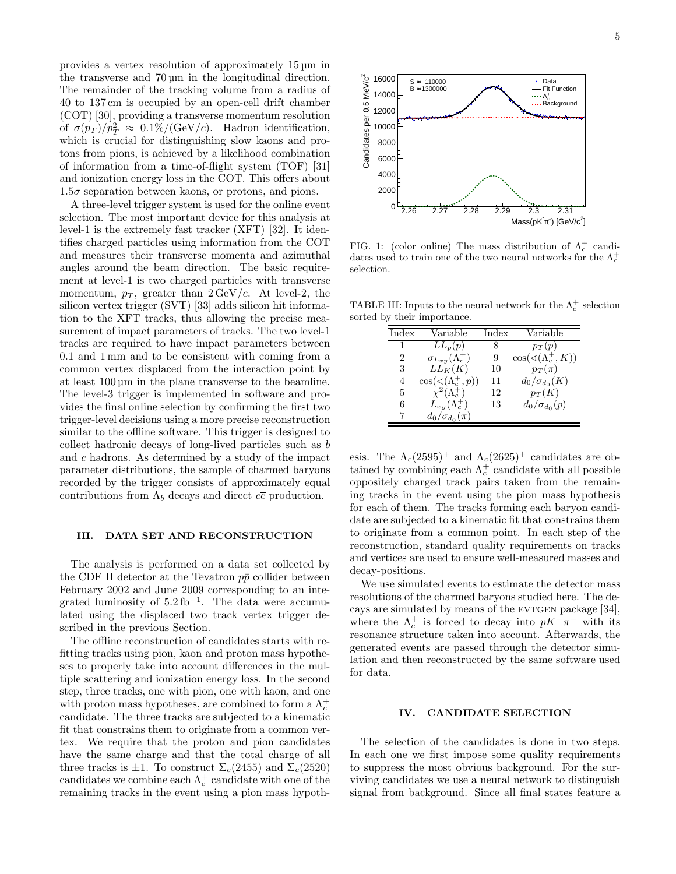provides a vertex resolution of approximately 15 µm in the transverse and 70 µm in the longitudinal direction. The remainder of the tracking volume from a radius of 40 to 137 cm is occupied by an open-cell drift chamber (COT) [30], providing a transverse momentum resolution of  $\sigma(p_T)/p_T^2 \approx 0.1\% / (\text{GeV}/c)$ . Hadron identification, which is crucial for distinguishing slow kaons and protons from pions, is achieved by a likelihood combination of information from a time-of-flight system (TOF) [31] and ionization energy loss in the COT. This offers about  $1.5\sigma$  separation between kaons, or protons, and pions.

A three-level trigger system is used for the online event selection. The most important device for this analysis at level-1 is the extremely fast tracker (XFT) [32]. It identifies charged particles using information from the COT and measures their transverse momenta and azimuthal angles around the beam direction. The basic requirement at level-1 is two charged particles with transverse momentum,  $p_T$ , greater than  $2 \text{GeV}/c$ . At level-2, the silicon vertex trigger (SVT) [33] adds silicon hit information to the XFT tracks, thus allowing the precise measurement of impact parameters of tracks. The two level-1 tracks are required to have impact parameters between 0.1 and 1 mm and to be consistent with coming from a common vertex displaced from the interaction point by at least 100 µm in the plane transverse to the beamline. The level-3 trigger is implemented in software and provides the final online selection by confirming the first two trigger-level decisions using a more precise reconstruction similar to the offline software. This trigger is designed to collect hadronic decays of long-lived particles such as b and c hadrons. As determined by a study of the impact parameter distributions, the sample of charmed baryons recorded by the trigger consists of approximately equal contributions from  $\Lambda_b$  decays and direct  $c\overline{c}$  production.

#### III. DATA SET AND RECONSTRUCTION

The analysis is performed on a data set collected by the CDF II detector at the Tevatron  $p\bar{p}$  collider between February 2002 and June 2009 corresponding to an integrated luminosity of  $5.2 \text{ fb}^{-1}$ . The data were accumulated using the displaced two track vertex trigger described in the previous Section.

The offline reconstruction of candidates starts with refitting tracks using pion, kaon and proton mass hypotheses to properly take into account differences in the multiple scattering and ionization energy loss. In the second step, three tracks, one with pion, one with kaon, and one with proton mass hypotheses, are combined to form a  $\Lambda_c^+$ candidate. The three tracks are subjected to a kinematic fit that constrains them to originate from a common vertex. We require that the proton and pion candidates have the same charge and that the total charge of all three tracks is  $\pm 1$ . To construct  $\Sigma_c(2455)$  and  $\Sigma_c(2520)$ candidates we combine each  $\Lambda_c^+$  candidate with one of the remaining tracks in the event using a pion mass hypoth-



Ν.

FIG. 1: (color online) The mass distribution of  $\Lambda_c^+$  candidates used to train one of the two neural networks for the  $\Lambda_c^+$ selection.

TABLE III: Inputs to the neural network for the  $\Lambda_c^+$  selection sorted by their importance.

| Index | Variable                               | Index | Variable                                |
|-------|----------------------------------------|-------|-----------------------------------------|
| 1     | $\overline{L}L_p(p)$                   | 8     | $p_T(p)$                                |
| 2     | $\sigma_{L_{xy}}(\Lambda_c^+)$         | 9     | $\cos(\sphericalangle(\Lambda_c^+, K))$ |
| 3     | $LL_K(K)$                              | 10    | $p_T(\pi)$                              |
| 4     | $\cos(\sphericalangle(\Lambda_c^+,p))$ | 11    | $d_0/\sigma_{d_0}(K)$                   |
| 5     | $\chi^2(\Lambda_c^+)$                  | 12    | $p_T(K)$                                |
| 6     | $L_{xy}(\Lambda_c^+)$                  | 13    | $d_0/\sigma_{d_0}(p)$                   |
|       | $d_0/\sigma_{d_0}(\pi)$                |       |                                         |

esis. The  $\Lambda_c(2595)^+$  and  $\Lambda_c(2625)^+$  candidates are obtained by combining each  $\Lambda_c^+$  candidate with all possible oppositely charged track pairs taken from the remaining tracks in the event using the pion mass hypothesis for each of them. The tracks forming each baryon candidate are subjected to a kinematic fit that constrains them to originate from a common point. In each step of the reconstruction, standard quality requirements on tracks and vertices are used to ensure well-measured masses and decay-positions.

We use simulated events to estimate the detector mass resolutions of the charmed baryons studied here. The decays are simulated by means of the EVTGEN package [34], where the  $\Lambda_c^+$  is forced to decay into  $pK^-\pi^+$  with its resonance structure taken into account. Afterwards, the generated events are passed through the detector simulation and then reconstructed by the same software used for data.

#### IV. CANDIDATE SELECTION

The selection of the candidates is done in two steps. In each one we first impose some quality requirements to suppress the most obvious background. For the surviving candidates we use a neural network to distinguish signal from background. Since all final states feature a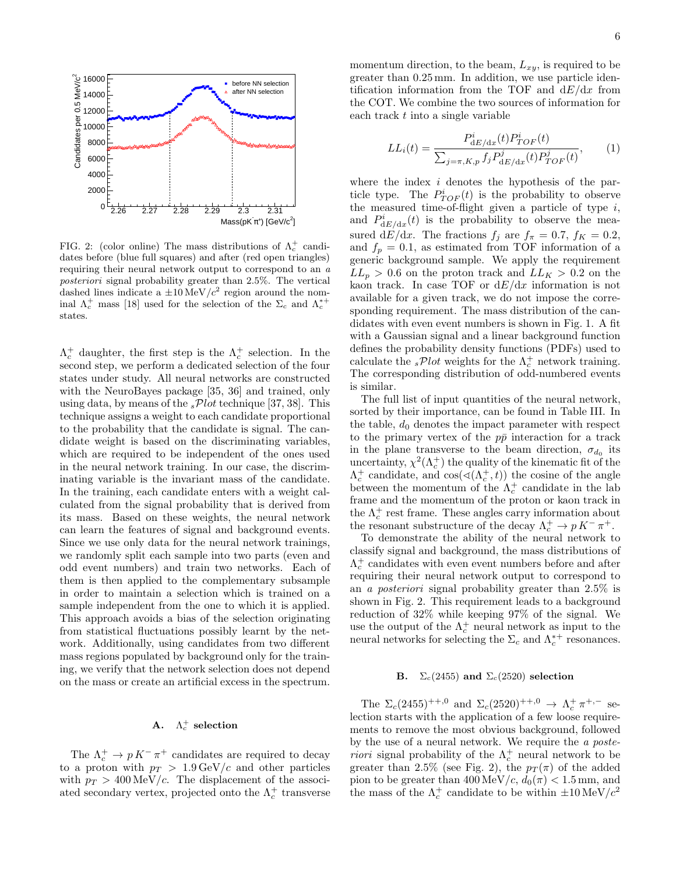

FIG. 2: (color online) The mass distributions of  $\Lambda_c^+$  candidates before (blue full squares) and after (red open triangles) requiring their neural network output to correspond to an *a posteriori* signal probability greater than 2.5%. The vertical dashed lines indicate a  $\pm 10 \,\mathrm{MeV}/c^2$  region around the nominal  $\Lambda_c^+$  mass [18] used for the selection of the  $\Sigma_c$  and  $\Lambda_c^{*+}$ states.

 $\Lambda_c^+$  daughter, the first step is the  $\Lambda_c^+$  selection. In the second step, we perform a dedicated selection of the four states under study. All neural networks are constructed with the NeuroBayes package [35, 36] and trained, only using data, by means of the  $sPlot$  technique [37, 38]. This technique assigns a weight to each candidate proportional to the probability that the candidate is signal. The candidate weight is based on the discriminating variables, which are required to be independent of the ones used in the neural network training. In our case, the discriminating variable is the invariant mass of the candidate. In the training, each candidate enters with a weight calculated from the signal probability that is derived from its mass. Based on these weights, the neural network can learn the features of signal and background events. Since we use only data for the neural network trainings, we randomly split each sample into two parts (even and odd event numbers) and train two networks. Each of them is then applied to the complementary subsample in order to maintain a selection which is trained on a sample independent from the one to which it is applied. This approach avoids a bias of the selection originating from statistical fluctuations possibly learnt by the network. Additionally, using candidates from two different mass regions populated by background only for the training, we verify that the network selection does not depend on the mass or create an artificial excess in the spectrum.

## A.  $\Lambda_c^+$  selection

The  $\Lambda_c^+ \to p K^- \pi^+$  candidates are required to decay to a proton with  $p_T > 1.9 \,\text{GeV}/c$  and other particles with  $p_T > 400 \,\text{MeV}/c$ . The displacement of the associated secondary vertex, projected onto the  $\Lambda_c^+$  transverse momentum direction, to the beam,  $L_{xy}$ , is required to be greater than 0.25 mm. In addition, we use particle identification information from the TOF and  $dE/dx$  from the COT. We combine the two sources of information for each track  $t$  into a single variable

$$
LL_i(t) = \frac{P_{dE/dx}^i(t)P_{TOF}^i(t)}{\sum_{j=\pi, K, p} f_j P_{dE/dx}^j(t)P_{TOF}^j(t)},
$$
 (1)

where the index  $i$  denotes the hypothesis of the particle type. The  $P_{TOF}^{i}(t)$  is the probability to observe the measured time-of-flight given a particle of type  $i$ , and  $P_{dE/dx}^{i}(t)$  is the probability to observe the measured dE/dx. The fractions  $f_j$  are  $f_\pi = 0.7$ ,  $f_K = 0.2$ , and  $f_p = 0.1$ , as estimated from TOF information of a generic background sample. We apply the requirement  $LL_p > 0.6$  on the proton track and  $LL_K > 0.2$  on the kaon track. In case TOF or  $dE/dx$  information is not available for a given track, we do not impose the corresponding requirement. The mass distribution of the candidates with even event numbers is shown in Fig. 1. A fit with a Gaussian signal and a linear background function defines the probability density functions (PDFs) used to calculate the  $sPlot$  weights for the  $\Lambda_c^+$  network training. The corresponding distribution of odd-numbered events is similar.

The full list of input quantities of the neural network, sorted by their importance, can be found in Table III. In the table,  $d_0$  denotes the impact parameter with respect to the primary vertex of the  $p\bar{p}$  interaction for a track in the plane transverse to the beam direction,  $\sigma_{d_0}$  its uncertainty,  $\chi^2(\Lambda_c^+)$  the quality of the kinematic fit of the  $\Lambda_c^+$  candidate, and  $\cos(\sphericalangle(\Lambda_c^+, t))$  the cosine of the angle between the momentum of the  $\Lambda_c^+$  candidate in the lab frame and the momentum of the proton or kaon track in the  $\Lambda_c^+$  rest frame. These angles carry information about the resonant substructure of the decay  $\Lambda_c^+ \to p K^- \pi^+$ .

To demonstrate the ability of the neural network to classify signal and background, the mass distributions of  $\Lambda_c^+$  candidates with even event numbers before and after requiring their neural network output to correspond to an a posteriori signal probability greater than 2.5% is shown in Fig. 2. This requirement leads to a background reduction of 32% while keeping 97% of the signal. We use the output of the  $\Lambda_c^+$  neural network as input to the neural networks for selecting the  $\Sigma_c$  and  $\Lambda_c^{*+}$  resonances.

#### **B.**  $\Sigma_c(2455)$  and  $\Sigma_c(2520)$  selection

The  $\Sigma_c(2455)^{++,0}$  and  $\Sigma_c(2520)^{++,0} \to \Lambda_c^+ \pi^{+,-}$  selection starts with the application of a few loose requirements to remove the most obvious background, followed by the use of a neural network. We require the a poste*riori* signal probability of the  $\Lambda_c^+$  neural network to be greater than 2.5% (see Fig. 2), the  $p_T(\pi)$  of the added pion to be greater than  $400\,{\rm MeV}/c,\,d_0(\pi)<1.5\,{\rm mm},$  and the mass of the  $\Lambda_c^+$  candidate to be within  $\pm 10 \,\mathrm{MeV}/c^2$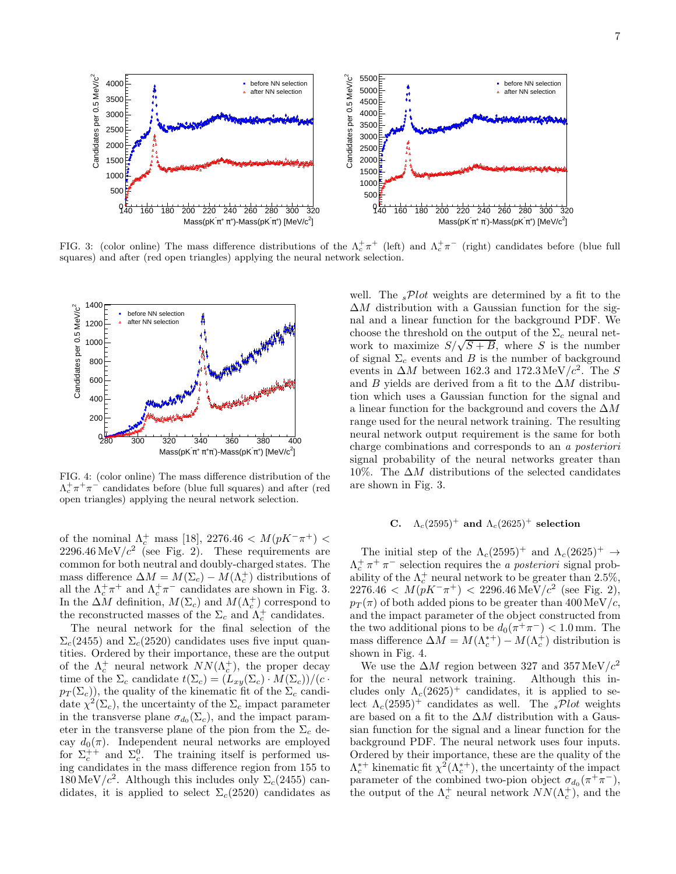

FIG. 3: (color online) The mass difference distributions of the  $\Lambda_c^+\pi^+$  (left) and  $\Lambda_c^+\pi^-$  (right) candidates before (blue full squares) and after (red open triangles) applying the neural network selection.



FIG. 4: (color online) The mass difference distribution of the  $\Lambda_c^+\pi^+\pi^-$  candidates before (blue full squares) and after (red open triangles) applying the neural network selection.

of the nominal  $\Lambda_c^+$  mass [18], 2276.46 <  $M(pK^- \pi^+)$  <  $2296.46 \text{ MeV}/c^2$  (see Fig. 2). These requirements are common for both neutral and doubly-charged states. The mass difference  $\Delta M = M(\Sigma_c) - M(\Lambda_c^+)$  distributions of all the  $\Lambda_c^+\pi^+$  and  $\Lambda_c^+\pi^-$  candidates are shown in Fig. 3. In the  $\Delta M$  definition,  $M(\Sigma_c)$  and  $M(\Lambda_c^+)$  correspond to the reconstructed masses of the  $\Sigma_c$  and  $\Lambda_c^+$  candidates.

The neural network for the final selection of the  $\Sigma_c(2455)$  and  $\Sigma_c(2520)$  candidates uses five input quantities. Ordered by their importance, these are the output of the  $\Lambda_c^+$  neural network  $NN(\Lambda_c^+)$ , the proper decay time of the  $\Sigma_c$  candidate  $t(\Sigma_c) = (L_{xy}(\Sigma_c) \cdot M(\Sigma_c))/(c \cdot$  $p_T(\Sigma_c)$ , the quality of the kinematic fit of the  $\Sigma_c$  candidate  $\chi^2(\Sigma_c)$ , the uncertainty of the  $\Sigma_c$  impact parameter in the transverse plane  $\sigma_{d_0}(\Sigma_c)$ , and the impact parameter in the transverse plane of the pion from the  $\Sigma_c$  decay  $d_0(\pi)$ . Independent neural networks are employed for  $\Sigma_c^{++}$  and  $\Sigma_c^0$ . The training itself is performed using candidates in the mass difference region from 155 to  $180 \,\mathrm{MeV}/c^2$ . Although this includes only  $\Sigma_c(2455)$  candidates, it is applied to select  $\Sigma_c(2520)$  candidates as

well. The  $sPlot$  weights are determined by a fit to the  $\Delta M$  distribution with a Gaussian function for the signal and a linear function for the background PDF. We choose the threshold on the output of the  $\Sigma_c$  neural network to maximize  $S/\sqrt{S+B}$ , where S is the number of signal  $\Sigma_c$  events and B is the number of background events in  $\Delta M$  between 162.3 and 172.3 MeV/ $c^2$ . The S and B yields are derived from a fit to the  $\Delta M$  distribution which uses a Gaussian function for the signal and a linear function for the background and covers the  $\Delta M$ range used for the neural network training. The resulting neural network output requirement is the same for both charge combinations and corresponds to an a posteriori signal probability of the neural networks greater than 10%. The  $\Delta M$  distributions of the selected candidates are shown in Fig. 3.

# C.  $\Lambda_c(2595)^+$  and  $\Lambda_c(2625)^+$  selection

The initial step of the  $\Lambda_c(2595)^+$  and  $\Lambda_c(2625)^+$   $\rightarrow$  $\Lambda_c^+ \pi^+ \pi^-$  selection requires the *a posteriori* signal probability of the  $\Lambda_c^+$  neural network to be greater than 2.5%,  $2276.46 < M(pK^{-}\pi^{+}) < 2296.46 \,\text{MeV}/c^{2}$  (see Fig. 2),  $p_T(\pi)$  of both added pions to be greater than 400 MeV/c. and the impact parameter of the object constructed from the two additional pions to be  $d_0(\pi^+\pi^-) < 1.0$  mm. The mass difference  $\Delta M = M(\Lambda_c^{*+}) - M(\Lambda_c^+)$  distribution is shown in Fig. 4.

We use the  $\Delta M$  region between 327 and 357 MeV/ $c^2$ for the neural network training. Although this includes only  $\Lambda_c(2625)^+$  candidates, it is applied to select  $\Lambda_c(2595)^+$  candidates as well. The  $sPlot$  weights are based on a fit to the  $\Delta M$  distribution with a Gaussian function for the signal and a linear function for the background PDF. The neural network uses four inputs. Ordered by their importance, these are the quality of the  $\Lambda_c^{*+}$  kinematic fit  $\chi^2(\Lambda_c^{*+})$ , the uncertainty of the impact parameter of the combined two-pion object  $\sigma_{d_0}(\pi^+\pi^-)$ , the output of the  $\Lambda_c^+$  neural network  $NN(\Lambda_c^+)$ , and the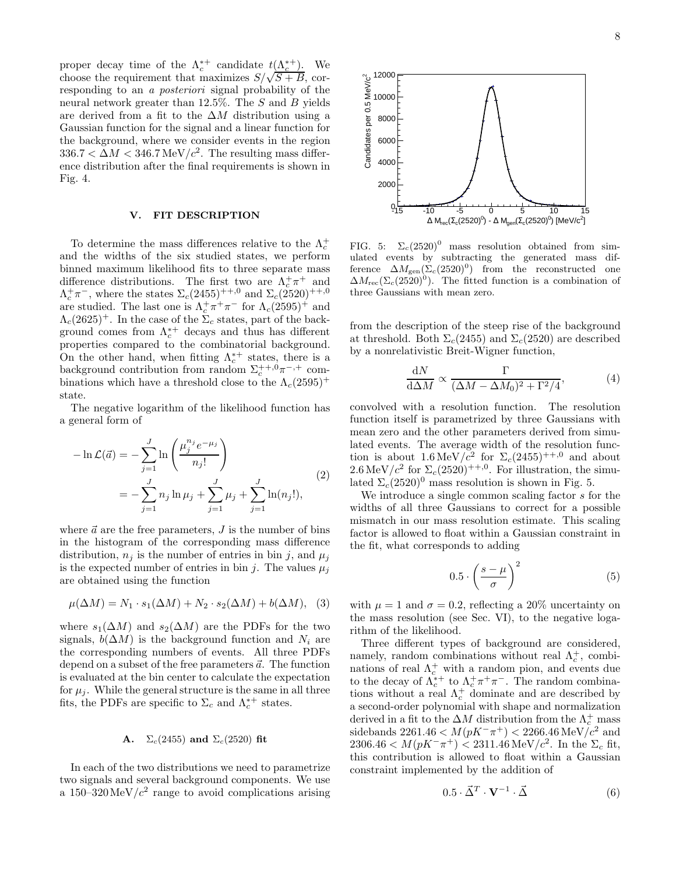8

proper decay time of the  $\Lambda_c^{*+}$  candidate  $t(\Lambda_c^{*+})$ . We choose the requirement that maximizes  $S/\sqrt{S+B}$ , corresponding to an a posteriori signal probability of the neural network greater than 12.5%. The S and B yields are derived from a fit to the  $\Delta M$  distribution using a Gaussian function for the signal and a linear function for the background, where we consider events in the region  $336.7 < \Delta M < 346.7 \,\text{MeV}/c^2$ . The resulting mass difference distribution after the final requirements is shown in Fig. 4.

#### V. FIT DESCRIPTION

To determine the mass differences relative to the  $\Lambda_c^+$ and the widths of the six studied states, we perform binned maximum likelihood fits to three separate mass difference distributions. The first two are  $\Lambda_c^+\pi^+$  and  $\Lambda_c^+\pi^-$ , where the states  $\Sigma_c(2455)^{++,0}$  and  $\Sigma_c(2520)^{++,0}$ are studied. The last one is  $\Lambda_c^+\pi^+\pi^-$  for  $\Lambda_c(2595)^+$  and  $\Lambda_c(2625)^+$ . In the case of the  $\Sigma_c$  states, part of the background comes from  $\Lambda_c^{*+}$  decays and thus has different properties compared to the combinatorial background. On the other hand, when fitting  $\Lambda_c^{*+}$  states, there is a background contribution from random  $\Sigma_c^{++,0}\pi^{-,+}$  combinations which have a threshold close to the  $\Lambda_c(2595)^+$ state.

The negative logarithm of the likelihood function has a general form of

$$
-\ln \mathcal{L}(\vec{a}) = -\sum_{j=1}^{J} \ln \left( \frac{\mu_j^{n_j} e^{-\mu_j}}{n_j!} \right)
$$
  
= 
$$
-\sum_{j=1}^{J} n_j \ln \mu_j + \sum_{j=1}^{J} \mu_j + \sum_{j=1}^{J} \ln(n_j!),
$$
 (2)

where  $\vec{a}$  are the free parameters,  $J$  is the number of bins in the histogram of the corresponding mass difference distribution,  $n_i$  is the number of entries in bin j, and  $\mu_i$ is the expected number of entries in bin j. The values  $\mu_i$ are obtained using the function

$$
\mu(\Delta M) = N_1 \cdot s_1(\Delta M) + N_2 \cdot s_2(\Delta M) + b(\Delta M), \quad (3)
$$

where  $s_1(\Delta M)$  and  $s_2(\Delta M)$  are the PDFs for the two signals,  $b(\Delta M)$  is the background function and  $N_i$  are the corresponding numbers of events. All three PDFs depend on a subset of the free parameters  $\vec{a}$ . The function is evaluated at the bin center to calculate the expectation for  $\mu_i$ . While the general structure is the same in all three fits, the PDFs are specific to  $\Sigma_c$  and  $\Lambda_c^{*+}$  states.

#### **A.**  $\Sigma_c(2455)$  and  $\Sigma_c(2520)$  fit

In each of the two distributions we need to parametrize two signals and several background components. We use a  $150-320 \,\mathrm{MeV}/c^2$  range to avoid complications arising



FIG. 5:  $\Sigma_c(2520)^0$  mass resolution obtained from simulated events by subtracting the generated mass difference  $\Delta M_{\rm gen}(\Sigma_c(2520)^0)$  from the reconstructed one  $\Delta M_{\rm rec}(\Sigma_c(2520)^0)$ . The fitted function is a combination of three Gaussians with mean zero.

from the description of the steep rise of the background at threshold. Both  $\Sigma_c(2455)$  and  $\Sigma_c(2520)$  are described by a nonrelativistic Breit-Wigner function,

$$
\frac{\mathrm{d}N}{\mathrm{d}\Delta M} \propto \frac{\Gamma}{(\Delta M - \Delta M_0)^2 + \Gamma^2/4},\tag{4}
$$

convolved with a resolution function. The resolution function itself is parametrized by three Gaussians with mean zero and the other parameters derived from simulated events. The average width of the resolution function is about  $1.6 \,\mathrm{MeV}/c^2$  for  $\Sigma_c(2455)^{+,0}$  and about  $2.6 \,\mathrm{MeV}/c^2$  for  $\Sigma_c(2520)^{++,0}$ . For illustration, the simulated  $\Sigma_c(2520)^0$  mass resolution is shown in Fig. 5.

We introduce a single common scaling factor s for the widths of all three Gaussians to correct for a possible mismatch in our mass resolution estimate. This scaling factor is allowed to float within a Gaussian constraint in the fit, what corresponds to adding

$$
0.5 \cdot \left(\frac{s-\mu}{\sigma}\right)^2 \tag{5}
$$

with  $\mu = 1$  and  $\sigma = 0.2$ , reflecting a 20% uncertainty on the mass resolution (see Sec. VI), to the negative logarithm of the likelihood.

Three different types of background are considered, namely, random combinations without real  $\Lambda_c^+$ , combinations of real  $\Lambda_c^+$  with a random pion, and events due to the decay of  $\Lambda_c^{\dagger +}$  to  $\Lambda_c^{\dagger +} \pi^{\dagger}$ . The random combinations without a real  $\Lambda_c^+$  dominate and are described by a second-order polynomial with shape and normalization derived in a fit to the  $\Delta M$  distribution from the  $\Lambda_c^+$  mass sidebands 2261.46  $\lt M(pK^-\pi^+) \lt 2266.46 \,{\rm MeV}/c^2$  and  $2306.46 < M(pK^{-}\pi^{+}) < 2311.46 \,\text{MeV}/c^{2}$ . In the  $\Sigma_{c}$  fit, this contribution is allowed to float within a Gaussian constraint implemented by the addition of

$$
0.5 \cdot \vec{\Delta}^T \cdot \mathbf{V}^{-1} \cdot \vec{\Delta} \tag{6}
$$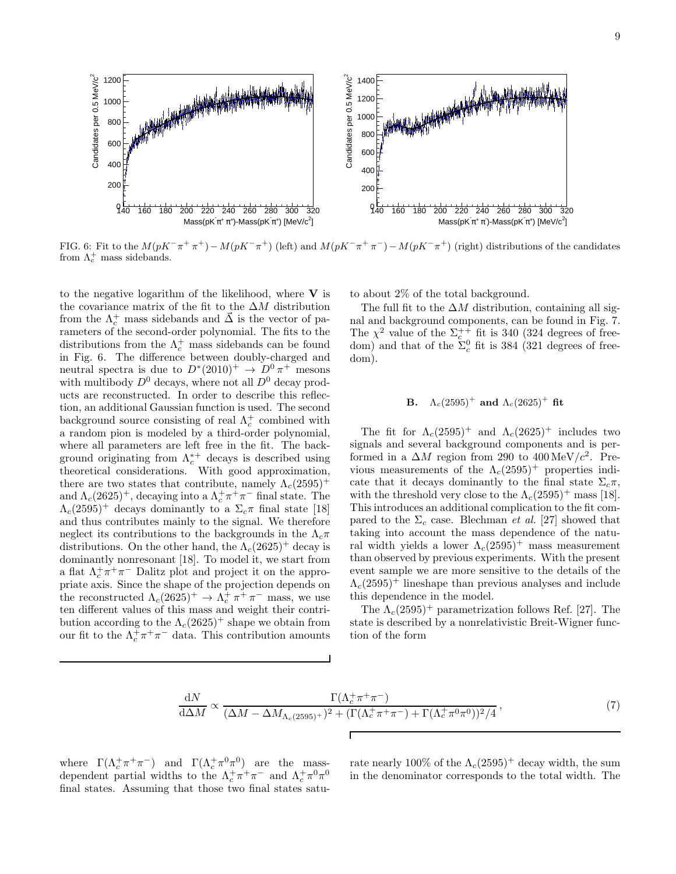

FIG. 6: Fit to the  $M(pK^-\pi^+\pi^+) - M(pK^-\pi^+)$  (left) and  $M(pK^-\pi^+\pi^-) - M(pK^-\pi^+)$  (right) distributions of the candidates from  $\Lambda_c^+$  mass sidebands.

to the negative logarithm of the likelihood, where  $V$  is the covariance matrix of the fit to the  $\Delta M$  distribution from the  $\Lambda_c^+$  mass sidebands and  $\vec{\Delta}$  is the vector of parameters of the second-order polynomial. The fits to the distributions from the  $\Lambda_c^+$  mass sidebands can be found in Fig. 6. The difference between doubly-charged and neutral spectra is due to  $D^*(2010)^+ \rightarrow D^0 \pi^+$  mesons with multibody  $D^0$  decays, where not all  $D^0$  decay products are reconstructed. In order to describe this reflection, an additional Gaussian function is used. The second background source consisting of real  $\Lambda_c^+$  combined with a random pion is modeled by a third-order polynomial, where all parameters are left free in the fit. The background originating from  $\Lambda_c^{*+}$  decays is described using theoretical considerations. With good approximation, there are two states that contribute, namely  $\Lambda_c(2595)^+$ and  $\Lambda_c(2625)^+$ , decaying into a  $\Lambda_c^+\pi^+\pi^-$  final state. The  $\Lambda_c(2595)^+$  decays dominantly to a  $\Sigma_c \pi$  final state [18] and thus contributes mainly to the signal. We therefore neglect its contributions to the backgrounds in the  $\Lambda_c \pi$ distributions. On the other hand, the  $\Lambda_c(2625)^+$  decay is dominantly nonresonant [18]. To model it, we start from a flat  $\Lambda_c^+\pi^+\pi^-$  Dalitz plot and project it on the appropriate axis. Since the shape of the projection depends on the reconstructed  $\Lambda_c(2625)^+ \to \Lambda_c^+ \pi^+ \pi^-$  mass, we use ten different values of this mass and weight their contribution according to the  $\Lambda_c(2625)^+$  shape we obtain from our fit to the  $\Lambda_c^+\pi^+\pi^-$  data. This contribution amounts

to about 2% of the total background.

The full fit to the  $\Delta M$  distribution, containing all signal and background components, can be found in Fig. 7. The  $\chi^2$  value of the  $\Sigma_c^{++}$  fit is 340 (324 degrees of freedom) and that of the  $\Sigma_c^0$  fit is 384 (321 degrees of freedom).

### **B.**  $\Lambda_c(2595)^+$  and  $\Lambda_c(2625)^+$  fit

The fit for  $\Lambda_c(2595)^+$  and  $\Lambda_c(2625)^+$  includes two signals and several background components and is performed in a  $\Delta M$  region from 290 to 400 MeV/ $c^2$ . Previous measurements of the  $\Lambda_c(2595)^+$  properties indicate that it decays dominantly to the final state  $\Sigma_c \pi$ , with the threshold very close to the  $\Lambda_c(2595)^+$  mass [18]. This introduces an additional complication to the fit compared to the  $\Sigma_c$  case. Blechman *et al.* [27] showed that taking into account the mass dependence of the natural width yields a lower  $\Lambda_c(2595)^+$  mass measurement than observed by previous experiments. With the present event sample we are more sensitive to the details of the  $\Lambda_c(2595)^+$  lineshape than previous analyses and include this dependence in the model.

The  $\Lambda_c(2595)^+$  parametrization follows Ref. [27]. The state is described by a nonrelativistic Breit-Wigner function of the form

$$
\frac{dN}{d\Delta M} \propto \frac{\Gamma(\Lambda_c^+ \pi^+ \pi^-)}{(\Delta M - \Delta M_{\Lambda_c (2595)^+})^2 + (\Gamma(\Lambda_c^+ \pi^+ \pi^-) + \Gamma(\Lambda_c^+ \pi^0 \pi^0))^2/4},\tag{7}
$$

where  $\Gamma(\Lambda_c^+\pi^+\pi^-)$  and  $\Gamma(\Lambda_c^+\pi^0\pi^0)$  are the massdependent partial widths to the  $\Lambda_c^+\pi^+\pi^-$  and  $\Lambda_c^+\pi^0\pi^0$ final states. Assuming that those two final states satu-

rate nearly 100% of the  $\Lambda_c(2595)^+$  decay width, the sum in the denominator corresponds to the total width. The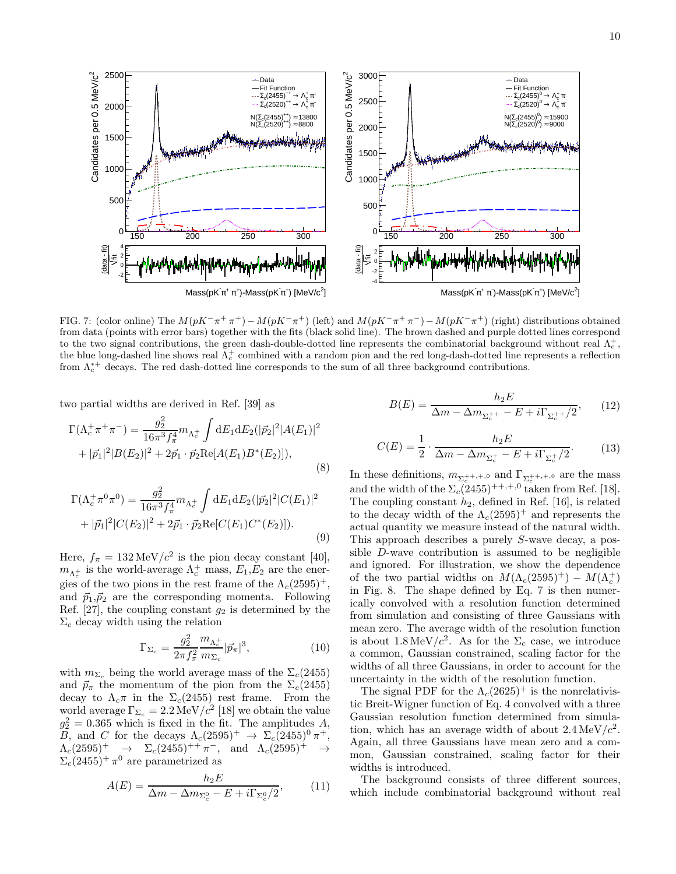

FIG. 7: (color online) The  $M(pK^-\pi^+\pi^+) - M(pK^-\pi^+)$  (left) and  $M(pK^-\pi^+\pi^-) - M(pK^-\pi^+)$  (right) distributions obtained from data (points with error bars) together with the fits (black solid line). The brown dashed and purple dotted lines correspond to the two signal contributions, the green dash-double-dotted line represents the combinatorial background without real  $\Lambda_c^+$ , the blue long-dashed line shows real  $\Lambda_c^+$  combined with a random pion and the red long-dash-dotted line represents a reflection from  $\Lambda_c^{*+}$  decays. The red dash-dotted line corresponds to the sum of all three background contributions.

two partial widths are derived in Ref. [39] as

$$
\Gamma(\Lambda_c^+\pi^+\pi^-) = \frac{g_2^2}{16\pi^3 f_\pi^4} m_{\Lambda_c^+} \int dE_1 dE_2 (|\vec{p}_2|^2 |A(E_1)|^2 + |\vec{p}_1|^2 |B(E_2)|^2 + 2\vec{p}_1 \cdot \vec{p}_2 \text{Re}[A(E_1)B^*(E_2)]),
$$
\n(8)

$$
\Gamma(\Lambda_c^+\pi^0\pi^0) = \frac{g_2^2}{16\pi^3 f_\pi^4} m_{\Lambda_c^+} \int dE_1 dE_2 (|\vec{p}_2|^2 |C(E_1)|^2 + |\vec{p}_1|^2 |C(E_2)|^2 + 2\vec{p}_1 \cdot \vec{p}_2 \text{Re}[C(E_1)C^*(E_2)]). \tag{9}
$$

Here,  $f_{\pi} = 132 \,\text{MeV}/c^2$  is the pion decay constant [40],  $m_{\Lambda_c^+}$  is the world-average  $\Lambda_c^+$  mass,  $E_1, E_2$  are the energies of the two pions in the rest frame of the  $\Lambda_c(2595)^+$ , and  $\vec{p}_1,\vec{p}_2$  are the corresponding momenta. Following Ref.  $[27]$ , the coupling constant  $g_2$  is determined by the  $\Sigma_c$  decay width using the relation

$$
\Gamma_{\Sigma_c} = \frac{g_2^2}{2\pi f_\pi^2} \frac{m_{\Lambda_c^+}}{m_{\Sigma_c}} |\vec{p}_\pi|^3, \tag{10}
$$

with  $m_{\Sigma_c}$  being the world average mass of the  $\Sigma_c(2455)$ and  $\vec{p}_{\pi}$  the momentum of the pion from the  $\Sigma_c(2455)$ decay to  $\Lambda_c \pi$  in the  $\Sigma_c(2455)$  rest frame. From the world average  $\Gamma_{\Sigma_c} = 2.2 \,\text{MeV}/c^2$  [18] we obtain the value  $g_2^2 = 0.365$  which is fixed in the fit. The amplitudes A, B, and C for the decays  $\Lambda_c(2595)^+$   $\to \Sigma_c(2455)^0 \pi^+,$  $\Lambda_c(2595)^+ \rightarrow \Sigma_c(2455)^{++} \pi^-, \text{ and } \Lambda_c(2595)^{+} \rightarrow$  $\Sigma_c(2455)^+\pi^0$  are parametrized as

$$
A(E) = \frac{h_2 E}{\Delta m - \Delta m_{\Sigma_c^0} - E + i \Gamma_{\Sigma_c^0} / 2},\tag{11}
$$

$$
B(E) = \frac{h_2 E}{\Delta m - \Delta m_{\Sigma_c^{++}} - E + i\Gamma_{\Sigma_c^{++}}/2},\qquad(12)
$$

$$
C(E) = \frac{1}{2} \cdot \frac{h_2 E}{\Delta m - \Delta m_{\Sigma_c^+} - E + i \Gamma_{\Sigma_c^+}/2}.
$$
 (13)

In these definitions,  $m_{\Sigma_c^{++},+,0}$  and  $\Gamma_{\Sigma_c^{++},+,0}$  are the mass and the width of the  $\Sigma_c(2455)^{++,+,0}$  taken from Ref. [18]. The coupling constant  $h_2$ , defined in Ref. [16], is related to the decay width of the  $\Lambda_c(2595)^+$  and represents the actual quantity we measure instead of the natural width. This approach describes a purely S-wave decay, a possible D-wave contribution is assumed to be negligible and ignored. For illustration, we show the dependence of the two partial widths on  $M(\Lambda_c(2595)^+) - M(\Lambda_c^+)$ in Fig. 8. The shape defined by Eq. 7 is then numerically convolved with a resolution function determined from simulation and consisting of three Gaussians with mean zero. The average width of the resolution function is about  $1.8 \,\mathrm{MeV}/c^2$ . As for the  $\Sigma_c$  case, we introduce a common, Gaussian constrained, scaling factor for the widths of all three Gaussians, in order to account for the uncertainty in the width of the resolution function.

The signal PDF for the  $\Lambda_c(2625)^+$  is the nonrelativistic Breit-Wigner function of Eq. 4 convolved with a three Gaussian resolution function determined from simulation, which has an average width of about  $2.4 \,\text{MeV}/c^2$ . Again, all three Gaussians have mean zero and a common, Gaussian constrained, scaling factor for their widths is introduced.

The background consists of three different sources, which include combinatorial background without real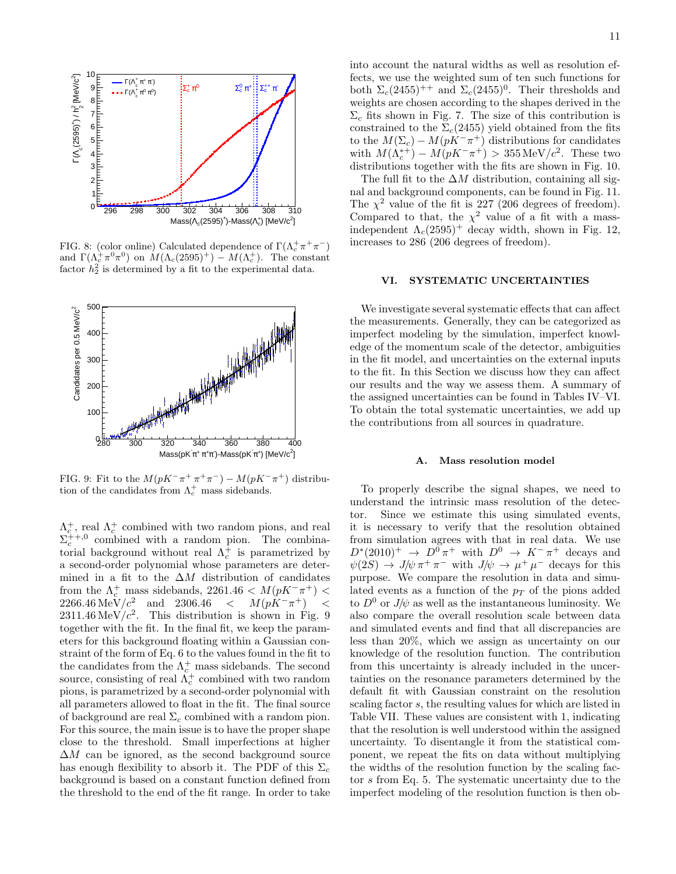

FIG. 8: (color online) Calculated dependence of  $\Gamma(\Lambda_c^+\pi^+\pi^-)$ and  $\Gamma(\Lambda_c^+\pi^0\pi^0)$  on  $M(\Lambda_c(2595)^+) - M(\Lambda_c^+)$ . The constant factor  $h_2^2$  is determined by a fit to the experimental data.



FIG. 9: Fit to the  $M(pK^-\pi^+\pi^+\pi^-) - M(pK^-\pi^+)$  distribution of the candidates from  $\Lambda_c^+$  mass sidebands.

 $\Lambda_c^+$ , real  $\Lambda_c^+$  combined with two random pions, and real  $\Sigma_c^{++,0}$  combined with a random pion. The combinatorial background without real  $\Lambda_c^+$  is parametrized by a second-order polynomial whose parameters are determined in a fit to the  $\Delta M$  distribution of candidates from the  $\Lambda_c^+$  mass sidebands, 2261.46 <  $M(pK^-\pi^+)$  <  $2266.46 \text{ MeV}/c^2$  and  $2306.46 < M(pK^{-}\pi^{+}) <$  $2311.46 \,\mathrm{MeV}/c^2$ . This distribution is shown in Fig. 9 together with the fit. In the final fit, we keep the parameters for this background floating within a Gaussian constraint of the form of Eq. 6 to the values found in the fit to the candidates from the  $\Lambda_c^+$  mass sidebands. The second source, consisting of real  $\Lambda_c^+$  combined with two random pions, is parametrized by a second-order polynomial with all parameters allowed to float in the fit. The final source of background are real  $\Sigma_c$  combined with a random pion. For this source, the main issue is to have the proper shape close to the threshold. Small imperfections at higher  $\Delta M$  can be ignored, as the second background source has enough flexibility to absorb it. The PDF of this  $\Sigma_c$ background is based on a constant function defined from the threshold to the end of the fit range. In order to take

into account the natural widths as well as resolution effects, we use the weighted sum of ten such functions for both  $\Sigma_c(2455)^{++}$  and  $\Sigma_c(2455)^{0}$ . Their thresholds and weights are chosen according to the shapes derived in the  $\Sigma_c$  fits shown in Fig. 7. The size of this contribution is constrained to the  $\Sigma_c(2455)$  yield obtained from the fits to the  $M(\Sigma_c) - M(pK^-\pi^+)$  distributions for candidates with  $M(\Lambda_c^{*+}) - M(pK^-\pi^+) > 355 \,\text{MeV}/c^2$ . These two distributions together with the fits are shown in Fig. 10.

The full fit to the  $\Delta M$  distribution, containing all signal and background components, can be found in Fig. 11. The  $\chi^2$  value of the fit is 227 (206 degrees of freedom). Compared to that, the  $\chi^2$  value of a fit with a massindependent  $\Lambda_c(2595)^+$  decay width, shown in Fig. 12, increases to 286 (206 degrees of freedom).

#### VI. SYSTEMATIC UNCERTAINTIES

We investigate several systematic effects that can affect the measurements. Generally, they can be categorized as imperfect modeling by the simulation, imperfect knowledge of the momentum scale of the detector, ambiguities in the fit model, and uncertainties on the external inputs to the fit. In this Section we discuss how they can affect our results and the way we assess them. A summary of the assigned uncertainties can be found in Tables IV–VI. To obtain the total systematic uncertainties, we add up the contributions from all sources in quadrature.

#### A. Mass resolution model

To properly describe the signal shapes, we need to understand the intrinsic mass resolution of the detector. Since we estimate this using simulated events, it is necessary to verify that the resolution obtained from simulation agrees with that in real data. We use  $D^*(2010)^+ \rightarrow D^0 \pi^+$  with  $D^0 \rightarrow K^- \pi^+$  decays and  $\psi(2S) \to J/\psi \pi^+ \pi^-$  with  $J/\psi \to \mu^+ \mu^-$  decays for this purpose. We compare the resolution in data and simulated events as a function of the  $p<sub>T</sub>$  of the pions added to  $D^0$  or  $J/\psi$  as well as the instantaneous luminosity. We also compare the overall resolution scale between data and simulated events and find that all discrepancies are less than 20%, which we assign as uncertainty on our knowledge of the resolution function. The contribution from this uncertainty is already included in the uncertainties on the resonance parameters determined by the default fit with Gaussian constraint on the resolution scaling factor s, the resulting values for which are listed in Table VII. These values are consistent with 1, indicating that the resolution is well understood within the assigned uncertainty. To disentangle it from the statistical component, we repeat the fits on data without multiplying the widths of the resolution function by the scaling factor s from Eq. 5. The systematic uncertainty due to the imperfect modeling of the resolution function is then ob-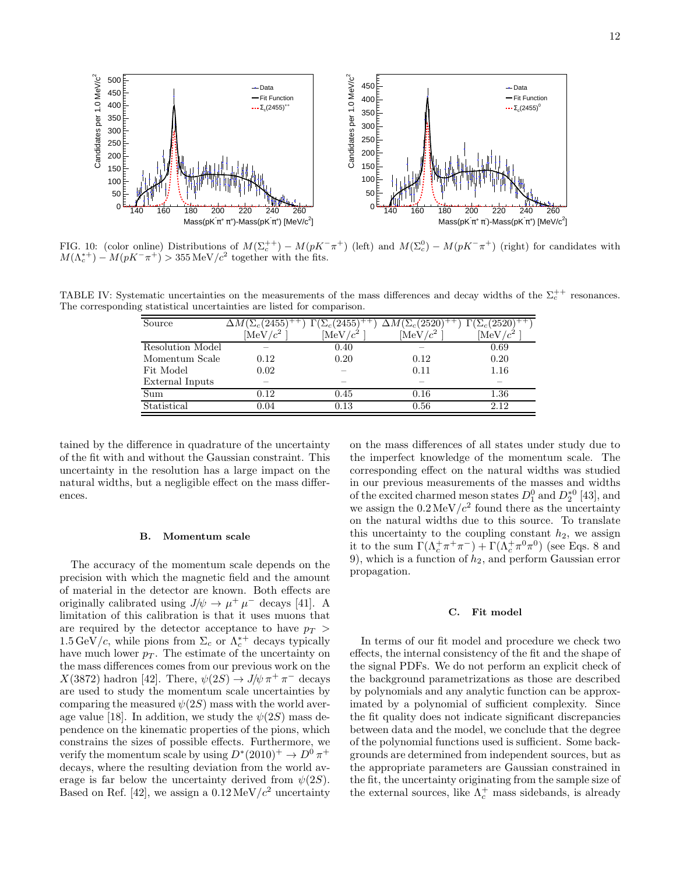

FIG. 10: (color online) Distributions of  $M(\Sigma_c^{++}) - M(pK^-\pi^+)$  (left) and  $M(\Sigma_c^0) - M(pK^-\pi^+)$  (right) for candidates with  $M(\Lambda_c^{*+}) - M(pK^-\pi^+) > 355 \,\text{MeV}/c^2$  together with the fits.

TABLE IV: Systematic uncertainties on the measurements of the mass differences and decay widths of the  $\Sigma_c^{++}$  resonances. The corresponding statistical uncertainties are listed for comparison.

| Source           | $\Delta M(\Sigma_c(2455))$ | $\Gamma(\Sigma_c(2455)$ | $\Delta M(\Sigma_c(2520)$ | $\Gamma(\Sigma_c(2520)$ |
|------------------|----------------------------|-------------------------|---------------------------|-------------------------|
|                  | $[\mathrm{MeV}/c^2]$       | $M_{\rm eV}/c^2$        | $[\mathrm{MeV}/c^2]$      | [MeV                    |
| Resolution Model |                            | 0.40                    |                           | 0.69                    |
| Momentum Scale   | 0.12                       | 0.20                    | 0.12                      | 0.20                    |
| Fit Model        | 0.02                       |                         | 0.11                      | 1.16                    |
| External Inputs  |                            |                         |                           |                         |
| Sum              | $0.12\,$                   | 0.45                    | 0.16                      | 1.36                    |
| Statistical      | $0.04\,$                   | 0.13                    | 0.56                      | 2.12                    |

tained by the difference in quadrature of the uncertainty of the fit with and without the Gaussian constraint. This uncertainty in the resolution has a large impact on the natural widths, but a negligible effect on the mass differences.

#### B. Momentum scale

The accuracy of the momentum scale depends on the precision with which the magnetic field and the amount of material in the detector are known. Both effects are originally calibrated using  $J/\psi \to \mu^+ \mu^-$  decays [41]. A limitation of this calibration is that it uses muons that are required by the detector acceptance to have  $p_T >$  $1.5 \,\mathrm{GeV}/c$ , while pions from  $\Sigma_c$  or  $\Lambda_c^{*+}$  decays typically have much lower  $p_T$ . The estimate of the uncertainty on the mass differences comes from our previous work on the  $X(3872)$  hadron [42]. There,  $\psi(2S) \to J/\psi \pi^+ \pi^-$  decays are used to study the momentum scale uncertainties by comparing the measured  $\psi(2S)$  mass with the world average value [18]. In addition, we study the  $\psi(2S)$  mass dependence on the kinematic properties of the pions, which constrains the sizes of possible effects. Furthermore, we verify the momentum scale by using  $D^*(2010)^+ \to D^0 \pi^+$ decays, where the resulting deviation from the world average is far below the uncertainty derived from  $\psi(2S)$ . Based on Ref. [42], we assign a  $0.12 \,\mathrm{MeV}/c^2$  uncertainty on the mass differences of all states under study due to the imperfect knowledge of the momentum scale. The corresponding effect on the natural widths was studied in our previous measurements of the masses and widths of the excited charmed meson states  $D_1^0$  and  $D_2^{*0}$  [43], and we assign the  $0.2 \,\mathrm{MeV}/c^2$  found there as the uncertainty on the natural widths due to this source. To translate this uncertainty to the coupling constant  $h_2$ , we assign it to the sum  $\Gamma(\Lambda_c^+\pi^+\pi^-)+\Gamma(\Lambda_c^+\pi^0\pi^0)$  (see Eqs. 8 and 9), which is a function of  $h_2$ , and perform Gaussian error propagation.

#### C. Fit model

In terms of our fit model and procedure we check two effects, the internal consistency of the fit and the shape of the signal PDFs. We do not perform an explicit check of the background parametrizations as those are described by polynomials and any analytic function can be approximated by a polynomial of sufficient complexity. Since the fit quality does not indicate significant discrepancies between data and the model, we conclude that the degree of the polynomial functions used is sufficient. Some backgrounds are determined from independent sources, but as the appropriate parameters are Gaussian constrained in the fit, the uncertainty originating from the sample size of the external sources, like  $\Lambda_c^+$  mass sidebands, is already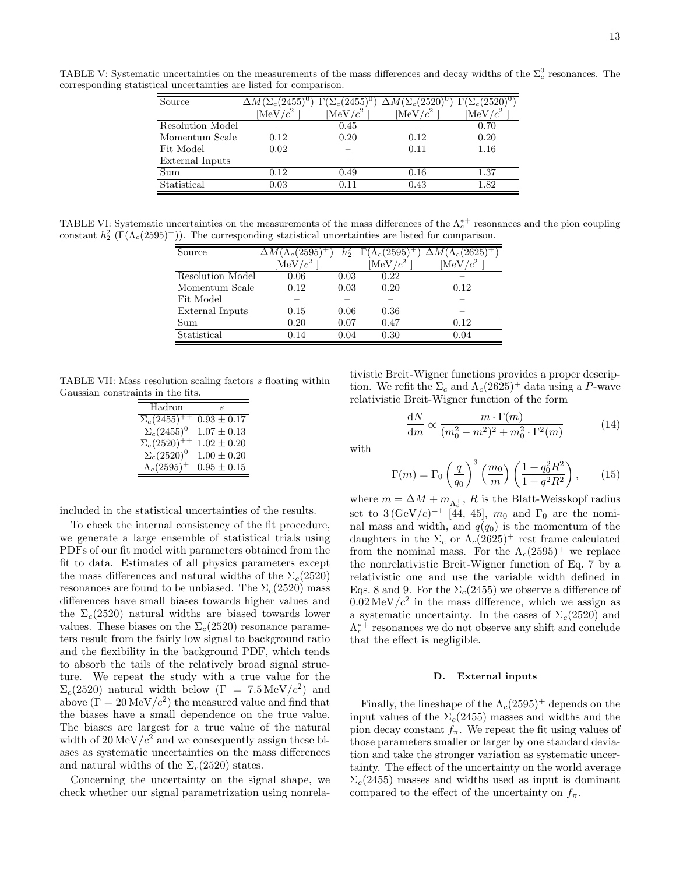TABLE V: Systematic uncertainties on the measurements of the mass differences and decay widths of the  $\Sigma_c^0$  resonances. The corresponding statistical uncertainties are listed for comparison.

| Source                    | $\Delta M(\Sigma_c(2455)^0) \Gamma(\Sigma_c(2455)^0)$ |             | $\Delta M(\Sigma_c(2520)^0)$ | $\Gamma(\Sigma_c(2520)^0)$ |
|---------------------------|-------------------------------------------------------|-------------|------------------------------|----------------------------|
|                           | [MeV/c <sup>2</sup> ]                                 | [MeV/ $c^2$ | $[\mathrm{MeV}/c^2]$         | [MeV/c <sup>2</sup> ]      |
| Resolution Model          |                                                       | 0.45        |                              | 0.70                       |
| Momentum Scale            | 0.12                                                  | 0.20        | 0.12                         | 0.20                       |
| Fit Model                 | 0.02                                                  |             | 0.11                         | 1.16                       |
| External Inputs           |                                                       |             |                              |                            |
| $\overline{\mathrm{Sum}}$ | 0.12                                                  | 0.49        | 0.16                         | 1.37                       |
| Statistical               | 0.03                                                  | 0.11        | 0.43                         | 1.82                       |

TABLE VI: Systematic uncertainties on the measurements of the mass differences of the  $\Lambda_c^{*+}$  resonances and the pion coupling constant  $h_2^2 \left( \Gamma(\Lambda_c(2595)^+) \right)$ . The corresponding statistical uncertainties are listed for comparison.

| Source           | $\Delta M (\Lambda_c(2595)^+$ | $h_2^2$ | $\Gamma(\Lambda_c(2595)^+)$ | $\Delta M (\Lambda_c(2625)^+)$ |
|------------------|-------------------------------|---------|-----------------------------|--------------------------------|
|                  | [MeV/c <sup>2</sup> ]         |         | $\rm{MeV}/c^2$              | [MeV                           |
| Resolution Model | 0.06                          | 0.03    | 0.22                        |                                |
| Momentum Scale   | 0.12                          | 0.03    | 0.20                        | 0.12                           |
| Fit Model        |                               |         |                             |                                |
| External Inputs  | 0.15                          | 0.06    | 0.36                        |                                |
| Sum              | 0.20                          | 0.07    | 0.47                        | 0.12                           |
| Statistical      | 0.14                          | 0.04    | 0.30                        | $\rm 0.04$                     |

TABLE VII: Mass resolution scaling factors s floating within Gaussian constraints in the fits. ś

| S               |
|-----------------|
| $0.93 \pm 0.17$ |
| $1.07 \pm 0.13$ |
| $1.02 \pm 0.20$ |
| $1.00 \pm 0.20$ |
| $0.95 \pm 0.15$ |
|                 |

included in the statistical uncertainties of the results.

To check the internal consistency of the fit procedure, we generate a large ensemble of statistical trials using PDFs of our fit model with parameters obtained from the fit to data. Estimates of all physics parameters except the mass differences and natural widths of the  $\Sigma_c(2520)$ resonances are found to be unbiased. The  $\Sigma_c(2520)$  mass differences have small biases towards higher values and the  $\Sigma_c(2520)$  natural widths are biased towards lower values. These biases on the  $\Sigma_c(2520)$  resonance parameters result from the fairly low signal to background ratio and the flexibility in the background PDF, which tends to absorb the tails of the relatively broad signal structure. We repeat the study with a true value for the  $\Sigma_c(2520)$  natural width below  $(\Gamma = 7.5 \,\text{MeV}/c^2)$  and above  $(\Gamma = 20 \,\mathrm{MeV}/c^2)$  the measured value and find that the biases have a small dependence on the true value. The biases are largest for a true value of the natural width of  $20 \,\mathrm{MeV}/c^2$  and we consequently assign these biases as systematic uncertainties on the mass differences and natural widths of the  $\Sigma_c(2520)$  states.

Concerning the uncertainty on the signal shape, we check whether our signal parametrization using nonrela-

tivistic Breit-Wigner functions provides a proper description. We refit the  $\Sigma_c$  and  $\Lambda_c(2625)^+$  data using a P-wave relativistic Breit-Wigner function of the form

$$
\frac{\mathrm{d}N}{\mathrm{d}m} \propto \frac{m \cdot \Gamma(m)}{(m_0^2 - m^2)^2 + m_0^2 \cdot \Gamma^2(m)}\tag{14}
$$

with

$$
\Gamma(m) = \Gamma_0 \left(\frac{q}{q_0}\right)^3 \left(\frac{m_0}{m}\right) \left(\frac{1+q_0^2 R^2}{1+q^2 R^2}\right),\tag{15}
$$

where  $m = \Delta M + m_{\Lambda_c^+}$ , R is the Blatt-Weisskopf radius set to  $3 \text{ (GeV/}c)^{-1}$  [44, 45],  $m_0$  and  $\Gamma_0$  are the nominal mass and width, and  $q(q_0)$  is the momentum of the daughters in the  $\Sigma_c$  or  $\Lambda_c(2625)^+$  rest frame calculated from the nominal mass. For the  $\Lambda_c(2595)^+$  we replace the nonrelativistic Breit-Wigner function of Eq. 7 by a relativistic one and use the variable width defined in Eqs. 8 and 9. For the  $\Sigma_c(2455)$  we observe a difference of  $0.02 \,\mathrm{MeV}/c^2$  in the mass difference, which we assign as a systematic uncertainty. In the cases of  $\Sigma_c(2520)$  and  $\Lambda_c^{*+}$  resonances we do not observe any shift and conclude that the effect is negligible.

#### D. External inputs

Finally, the lineshape of the  $\Lambda_c(2595)^+$  depends on the input values of the  $\Sigma_c(2455)$  masses and widths and the pion decay constant  $f_{\pi}$ . We repeat the fit using values of those parameters smaller or larger by one standard deviation and take the stronger variation as systematic uncertainty. The effect of the uncertainty on the world average  $\Sigma_c(2455)$  masses and widths used as input is dominant compared to the effect of the uncertainty on  $f_{\pi}$ .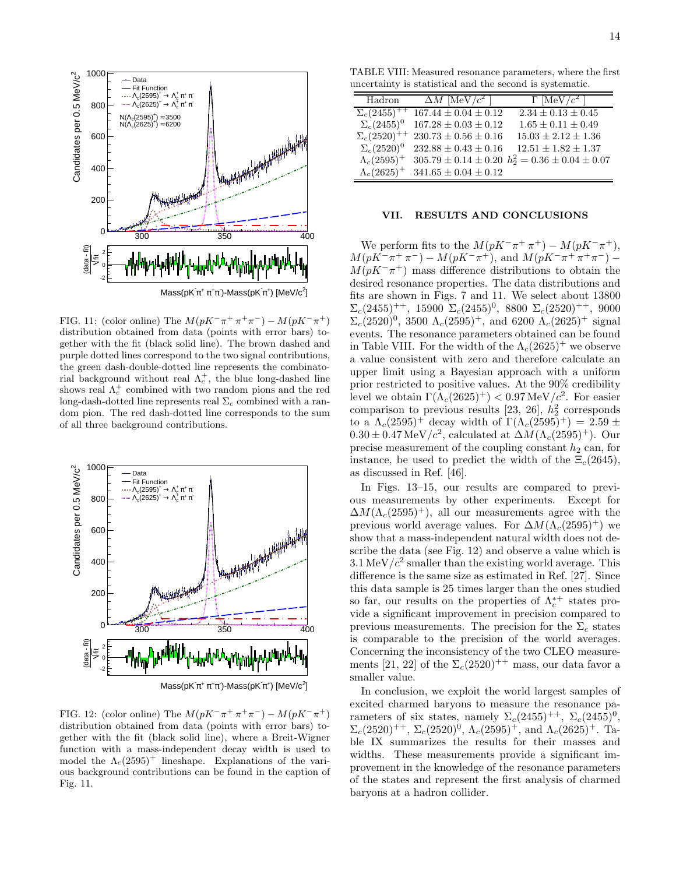

FIG. 11: (color online) The  $M(pK^{-}\pi^{+}\pi^{+}\pi^{-}) - M(pK^{-}\pi^{+})$ distribution obtained from data (points with error bars) together with the fit (black solid line). The brown dashed and purple dotted lines correspond to the two signal contributions, the green dash-double-dotted line represents the combinatorial background without real  $\Lambda_c^+$ , the blue long-dashed line shows real  $\Lambda_c^+$  combined with two random pions and the red long-dash-dotted line represents real  $\Sigma_c$  combined with a random pion. The red dash-dotted line corresponds to the sum of all three background contributions.



FIG. 12: (color online) The  $M(pK^{-}\pi^{+}\pi^{+}\pi^{-}) - M(pK^{-}\pi^{+})$ distribution obtained from data (points with error bars) together with the fit (black solid line), where a Breit-Wigner function with a mass-independent decay width is used to model the  $\Lambda_c(2595)^+$  lineshape. Explanations of the various background contributions can be found in the caption of Fig. 11.

TABLE VIII: Measured resonance parameters, where the first uncertainty is statistical and the second is systematic.

| Hadron                | $\Delta M$ [MeV/ $c^2$ ]   | $\Gamma$ [MeV/ $c^2$ ]                                      |
|-----------------------|----------------------------|-------------------------------------------------------------|
| $\Sigma_c(2455)^{++}$ | $167.44 \pm 0.04 \pm 0.12$ | $2.34 \pm 0.13 \pm 0.45$                                    |
| $\Sigma_c(2455)^0$    | $167.28 \pm 0.03 \pm 0.12$ | $1.65 \pm 0.11 \pm 0.49$                                    |
| $\Sigma_c(2520)^{++}$ | $230.73 \pm 0.56 \pm 0.16$ | $15.03 \pm 2.12 \pm 1.36$                                   |
| $\Sigma_c(2520)^0$    | $232.88 \pm 0.43 \pm 0.16$ | $12.51 \pm 1.82 \pm 1.37$                                   |
| $\Lambda_c(2595)^+$   |                            | $305.79 \pm 0.14 \pm 0.20$ $h_2^2 = 0.36 \pm 0.04 \pm 0.07$ |
| $\Lambda_c(2625)^+$   | $341.65 \pm 0.04 \pm 0.12$ |                                                             |

#### VII. RESULTS AND CONCLUSIONS

We perform fits to the  $M(pK^-\pi^+\pi^+) - M(pK^-\pi^+),$  $M(pK^-\pi^+\pi^-) - M(pK^-\pi^+),$  and  $M(pK^-\pi^+\pi^+\pi^-) M(pK^-\pi^+)$  mass difference distributions to obtain the desired resonance properties. The data distributions and fits are shown in Figs. 7 and 11. We select about 13800  $\Sigma_c(2455)^{++}$ , 15900  $\Sigma_c(2455)^0$ , 8800  $\Sigma_c(2520)^{++}$ , 9000  $\Sigma_c(2520)^0$ , 3500  $\Lambda_c(2595)^+$ , and 6200  $\Lambda_c(2625)^+$  signal events. The resonance parameters obtained can be found in Table VIII. For the width of the  $\Lambda_c(2625)^+$  we observe a value consistent with zero and therefore calculate an upper limit using a Bayesian approach with a uniform prior restricted to positive values. At the 90% credibility level we obtain  $\Gamma(\Lambda_c(2625)^+) < 0.97 \,\text{MeV}/c^2$ . For easier comparison to previous results [23, 26],  $h_2^2$  corresponds to a  $\Lambda_c(2595)^+$  decay width of  $\Gamma(\Lambda_c(2595)^+) = 2.59 \pm 1.5$  $0.30 \pm 0.47 \,\text{MeV}/c^2$ , calculated at  $\Delta M (\Lambda_c(2595)^+)$ . Our precise measurement of the coupling constant  $h_2$  can, for instance, be used to predict the width of the  $\Xi_c(2645)$ , as discussed in Ref. [46].

In Figs. 13–15, our results are compared to previous measurements by other experiments. Except for  $\Delta M (\Lambda_c(2595)^+)$ , all our measurements agree with the previous world average values. For  $\Delta M (\Lambda_c(2595)^+)$  we show that a mass-independent natural width does not describe the data (see Fig. 12) and observe a value which is  $3.1 \,\mathrm{MeV}/c^2$  smaller than the existing world average. This difference is the same size as estimated in Ref. [27]. Since this data sample is 25 times larger than the ones studied so far, our results on the properties of  $\Lambda_c^{*+}$  states provide a significant improvement in precision compared to previous measurements. The precision for the  $\Sigma_c$  states is comparable to the precision of the world averages. Concerning the inconsistency of the two CLEO measurements [21, 22] of the  $\Sigma_c(2520)^{++}$  mass, our data favor a smaller value.

In conclusion, we exploit the world largest samples of excited charmed baryons to measure the resonance parameters of six states, namely  $\Sigma_c(2455)^{++}$ ,  $\Sigma_c(2455)^0$ ,  $\Sigma_c(2520)^{++}$ ,  $\Sigma_c(2520)^0$ ,  $\Lambda_c(2595)^{+}$ , and  $\Lambda_c(2625)^{+}$ . Table IX summarizes the results for their masses and widths. These measurements provide a significant improvement in the knowledge of the resonance parameters of the states and represent the first analysis of charmed baryons at a hadron collider.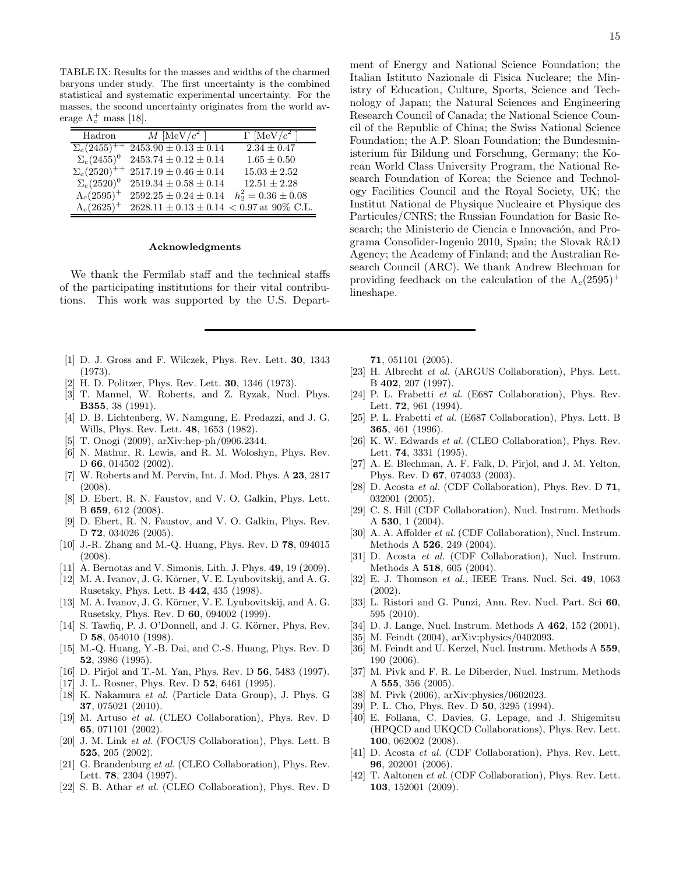TABLE IX: Results for the masses and widths of the charmed baryons under study. The first uncertainty is the combined statistical and systematic experimental uncertainty. For the masses, the second uncertainty originates from the world average  $\Lambda_c^+$  mass [18].

| Hadron                | M [MeV/ $c^2$ ]                                | $\Gamma$ [MeV/ $c^2$ ]  |
|-----------------------|------------------------------------------------|-------------------------|
| $\Sigma_c(2455)^+$    | $\overline{2453.90 \pm 0.13 \pm 0.14}$         | $2.34 \pm 0.47$         |
| $\Sigma_c(2455)^0$    | $2453.74 \pm 0.12 \pm 0.14$                    | $1.65 \pm 0.50$         |
| $\Sigma_c(2520)^{++}$ | $2517.19 \pm 0.46 \pm 0.14$                    | $15.03 \pm 2.52$        |
| $\Sigma_c(2520)^0$    | $2519.34 \pm 0.58 \pm 0.14$                    | $12.51 \pm 2.28$        |
| $\Lambda_c(2595)^+$   | $2592.25 \pm 0.24 \pm 0.14$                    | $h_2^2 = 0.36 \pm 0.08$ |
| $\Lambda_c(2625)^+$   | $2628.11 \pm 0.13 \pm 0.14 < 0.97$ at 90% C.L. |                         |

#### Acknowledgments

We thank the Fermilab staff and the technical staffs of the participating institutions for their vital contributions. This work was supported by the U.S. Depart-

- [1] D. J. Gross and F. Wilczek, Phys. Rev. Lett. 30, 1343 (1973).
- [2] H. D. Politzer, Phys. Rev. Lett. 30, 1346 (1973).
- [3] T. Mannel, W. Roberts, and Z. Ryzak, Nucl. Phys. B355, 38 (1991).
- [4] D. B. Lichtenberg, W. Namgung, E. Predazzi, and J. G. Wills, Phys. Rev. Lett. 48, 1653 (1982).
- [5] T. Onogi (2009), arXiv:hep-ph/0906.2344.
- [6] N. Mathur, R. Lewis, and R. M. Woloshyn, Phys. Rev. D 66, 014502 (2002).
- [7] W. Roberts and M. Pervin, Int. J. Mod. Phys. A 23, 2817 (2008).
- [8] D. Ebert, R. N. Faustov, and V. O. Galkin, Phys. Lett. B 659, 612 (2008).
- [9] D. Ebert, R. N. Faustov, and V. O. Galkin, Phys. Rev. D **72**, 034026 (2005).
- [10] J.-R. Zhang and M.-Q. Huang, Phys. Rev. D 78, 094015 (2008).
- [11] A. Bernotas and V. Simonis, Lith. J. Phys. **49**, 19 (2009).
- [12] M. A. Ivanov, J. G. Körner, V. E. Lyubovitskij, and A. G. Rusetsky, Phys. Lett. B 442, 435 (1998).
- [13] M. A. Ivanov, J. G. Körner, V. E. Lyubovitskij, and A. G. Rusetsky, Phys. Rev. D 60, 094002 (1999).
- [14] S. Tawfiq, P. J. O'Donnell, and J. G. Körner, Phys. Rev. D 58, 054010 (1998).
- [15] M.-Q. Huang, Y.-B. Dai, and C.-S. Huang, Phys. Rev. D 52, 3986 (1995).
- [16] D. Pirjol and T.-M. Yan, Phys. Rev. D 56, 5483 (1997).
- [17] J. L. Rosner, Phys. Rev. D **52**, 6461 (1995).
- [18] K. Nakamura *et al.* (Particle Data Group), J. Phys. G 37, 075021 (2010).
- [19] M. Artuso *et al.* (CLEO Collaboration), Phys. Rev. D 65, 071101 (2002).
- [20] J. M. Link *et al.* (FOCUS Collaboration), Phys. Lett. B 525, 205 (2002).
- [21] G. Brandenburg *et al.* (CLEO Collaboration), Phys. Rev. Lett. 78, 2304 (1997).
- [22] S. B. Athar *et al.* (CLEO Collaboration), Phys. Rev. D

ment of Energy and National Science Foundation; the Italian Istituto Nazionale di Fisica Nucleare; the Ministry of Education, Culture, Sports, Science and Technology of Japan; the Natural Sciences and Engineering Research Council of Canada; the National Science Council of the Republic of China; the Swiss National Science Foundation; the A.P. Sloan Foundation; the Bundesministerium für Bildung und Forschung, Germany; the Korean World Class University Program, the National Research Foundation of Korea; the Science and Technology Facilities Council and the Royal Society, UK; the Institut National de Physique Nucleaire et Physique des Particules/CNRS; the Russian Foundation for Basic Research; the Ministerio de Ciencia e Innovación, and Pro-

71, 051101 (2005).

lineshape.

[23] H. Albrecht *et al.* (ARGUS Collaboration), Phys. Lett. B 402, 207 (1997).

grama Consolider-Ingenio 2010, Spain; the Slovak R&D Agency; the Academy of Finland; and the Australian Research Council (ARC). We thank Andrew Blechman for providing feedback on the calculation of the  $\Lambda_c(2595)^+$ 

- [24] P. L. Frabetti *et al.* (E687 Collaboration), Phys. Rev. Lett. **72**, 961 (1994).
- [25] P. L. Frabetti *et al.* (E687 Collaboration), Phys. Lett. B 365, 461 (1996).
- [26] K. W. Edwards *et al.* (CLEO Collaboration), Phys. Rev. Lett. **74**, 3331 (1995).
- [27] A. E. Blechman, A. F. Falk, D. Pirjol, and J. M. Yelton, Phys. Rev. D 67, 074033 (2003).
- [28] D. Acosta *et al.* (CDF Collaboration), Phys. Rev. D 71, 032001 (2005).
- [29] C. S. Hill (CDF Collaboration), Nucl. Instrum. Methods A 530, 1 (2004).
- [30] A. A. Affolder *et al.* (CDF Collaboration), Nucl. Instrum. Methods A 526, 249 (2004).
- [31] D. Acosta *et al.* (CDF Collaboration), Nucl. Instrum. Methods A 518, 605 (2004).
- [32] E. J. Thomson *et al.*, IEEE Trans. Nucl. Sci. 49, 1063 (2002).
- [33] L. Ristori and G. Punzi, Ann. Rev. Nucl. Part. Sci 60, 595 (2010).
- [34] D. J. Lange, Nucl. Instrum. Methods A 462, 152 (2001).
- [35] M. Feindt (2004), arXiv:physics/0402093.
- [36] M. Feindt and U. Kerzel, Nucl. Instrum. Methods A 559, 190 (2006).
- [37] M. Pivk and F. R. Le Diberder, Nucl. Instrum. Methods A 555, 356 (2005).
- [38] M. Pivk (2006), arXiv:physics/0602023.
- [39] P. L. Cho, Phys. Rev. D **50**, 3295 (1994).
- [40] E. Follana, C. Davies, G. Lepage, and J. Shigemitsu (HPQCD and UKQCD Collaborations), Phys. Rev. Lett. 100, 062002 (2008).
- [41] D. Acosta *et al.* (CDF Collaboration), Phys. Rev. Lett. 96, 202001 (2006).
- [42] T. Aaltonen *et al.* (CDF Collaboration), Phys. Rev. Lett. 103, 152001 (2009).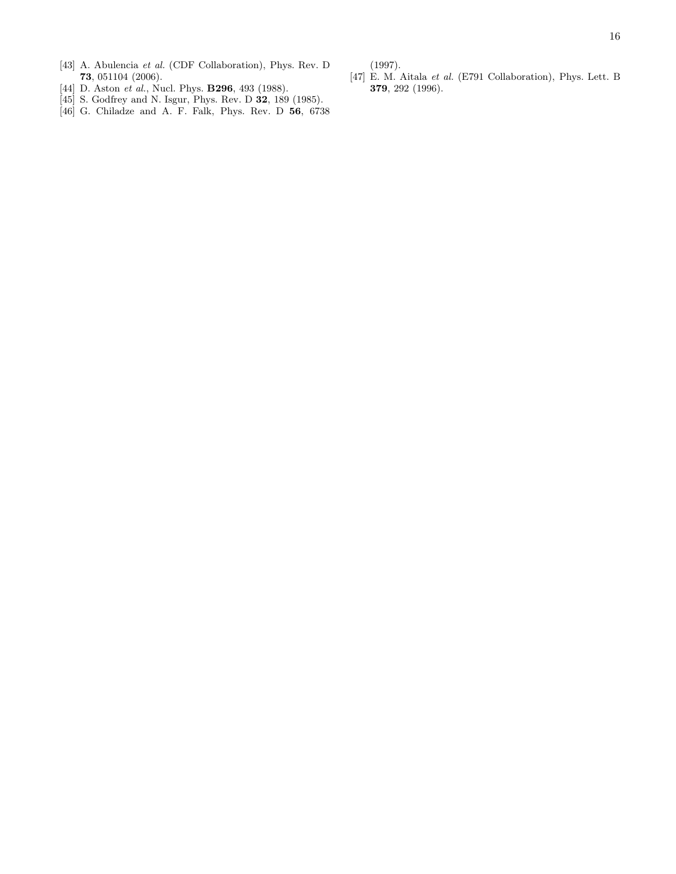(1997).

- [43] A. Abulencia *et al.* (CDF Collaboration), Phys. Rev. D 73, 051104 (2006).
- [44] D. Aston *et al.*, Nucl. Phys. **B296**, 493 (1988).
- [45] S. Godfrey and N. Isgur, Phys. Rev. D **32**, 189 (1985).
- [46] G. Chiladze and A. F. Falk, Phys. Rev. D 56, 6738
- [47] E. M. Aitala *et al.* (E791 Collaboration), Phys. Lett. B 379, 292 (1996).